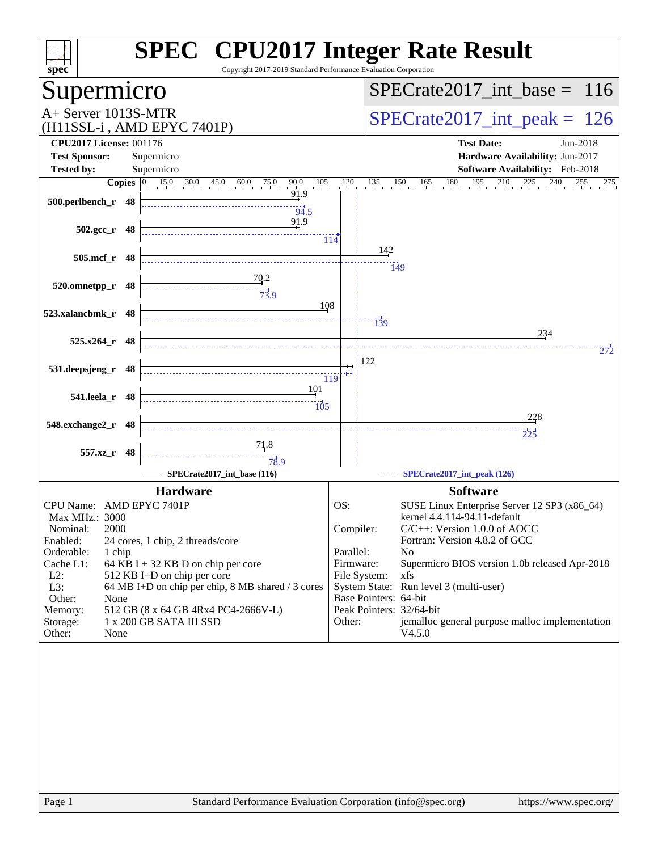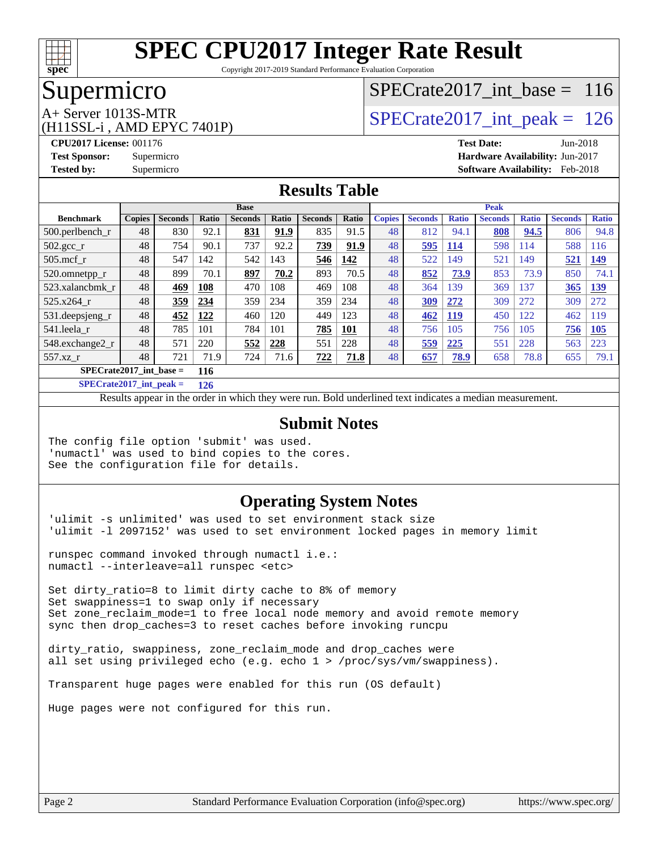

Copyright 2017-2019 Standard Performance Evaluation Corporation

### Supermicro

### [SPECrate2017\\_int\\_base =](http://www.spec.org/auto/cpu2017/Docs/result-fields.html#SPECrate2017intbase) 116

(H11SSL-i , AMD EPYC 7401P)

 $A+$  Server 1013S-MTR<br>(H11SSL in AMD EPVC 7401P) SPECrate 2017\_int\_peak = 126

**[CPU2017 License:](http://www.spec.org/auto/cpu2017/Docs/result-fields.html#CPU2017License)** 001176 **[Test Date:](http://www.spec.org/auto/cpu2017/Docs/result-fields.html#TestDate)** Jun-2018 **[Test Sponsor:](http://www.spec.org/auto/cpu2017/Docs/result-fields.html#TestSponsor)** Supermicro **[Hardware Availability:](http://www.spec.org/auto/cpu2017/Docs/result-fields.html#HardwareAvailability)** Jun-2017 **[Tested by:](http://www.spec.org/auto/cpu2017/Docs/result-fields.html#Testedby)** Supermicro **[Software Availability:](http://www.spec.org/auto/cpu2017/Docs/result-fields.html#SoftwareAvailability)** Feb-2018

#### **[Results Table](http://www.spec.org/auto/cpu2017/Docs/result-fields.html#ResultsTable)**

|                                  | <b>Base</b>   |                |       |                |              | <b>Peak</b>    |       |               |                |              |                |              |                |              |
|----------------------------------|---------------|----------------|-------|----------------|--------------|----------------|-------|---------------|----------------|--------------|----------------|--------------|----------------|--------------|
| <b>Benchmark</b>                 | <b>Copies</b> | <b>Seconds</b> | Ratio | <b>Seconds</b> | <b>Ratio</b> | <b>Seconds</b> | Ratio | <b>Copies</b> | <b>Seconds</b> | <b>Ratio</b> | <b>Seconds</b> | <b>Ratio</b> | <b>Seconds</b> | <b>Ratio</b> |
| $500$ .perlbench r               | 48            | 830            | 92.1  | 831            | 91.9         | 835            | 91.5  | 48            | 812            | 94.1         | 808            | 94.5         | 806            | 94.8         |
| $502.\text{sec}$                 | 48            | 754            | 90.1  | 737            | 92.2         | 739            | 91.9  | 48            | 595            | <b>114</b>   | 598            | 114          | 588            | 116          |
| $505$ .mcf r                     | 48            | 547            | 142   | 542            | 143          | 546            | 142   | 48            | 522            | 149          | 521            | 149          | 521            | 149          |
| 520.omnetpp_r                    | 48            | 899            | 70.1  | 897            | 70.2         | 893            | 70.5  | 48            | 852            | 73.9         | 853            | 73.9         | 850            | 74.1         |
| 523.xalancbmk r                  | 48            | 469            | 108   | 470            | 108          | 469            | 108   | 48            | 364            | 139          | 369            | 137          | 365            | <u>139</u>   |
| 525.x264 r                       | 48            | 359            | 234   | 359            | 234          | 359            | 234   | 48            | <u>309</u>     | 272          | 309            | 272          | 309            | 272          |
| 531.deepsjeng_r                  | 48            | 452            | 122   | 460            | 120          | 449            | 123   | 48            | 462            | <u>119</u>   | 450            | 122          | 462            | 119          |
| 541.leela r                      | 48            | 785            | 101   | 784            | 101          | 785            | 101   | 48            | 756            | 105          | 756            | 105          | 756            | <b>105</b>   |
| 548.exchange2_r                  | 48            | 571            | 220   | 552            | 228          | 551            | 228   | 48            | 559            | 225          | 551            | 228          | 563            | 223          |
| 557.xz r                         | 48            | 721            | 71.9  | 724            | 71.6         | 722            | 71.8  | 48            | 657            | 78.9         | 658            | 78.8         | 655            | 79.1         |
| $SPECrate2017$ int base =<br>116 |               |                |       |                |              |                |       |               |                |              |                |              |                |              |

**[SPECrate2017\\_int\\_peak =](http://www.spec.org/auto/cpu2017/Docs/result-fields.html#SPECrate2017intpeak) 126**

Results appear in the [order in which they were run.](http://www.spec.org/auto/cpu2017/Docs/result-fields.html#RunOrder) Bold underlined text [indicates a median measurement.](http://www.spec.org/auto/cpu2017/Docs/result-fields.html#Median)

#### **[Submit Notes](http://www.spec.org/auto/cpu2017/Docs/result-fields.html#SubmitNotes)**

The config file option 'submit' was used. 'numactl' was used to bind copies to the cores. See the configuration file for details.

#### **[Operating System Notes](http://www.spec.org/auto/cpu2017/Docs/result-fields.html#OperatingSystemNotes)**

'ulimit -s unlimited' was used to set environment stack size 'ulimit -l 2097152' was used to set environment locked pages in memory limit

runspec command invoked through numactl i.e.: numactl --interleave=all runspec <etc>

Set dirty\_ratio=8 to limit dirty cache to 8% of memory Set swappiness=1 to swap only if necessary Set zone\_reclaim\_mode=1 to free local node memory and avoid remote memory sync then drop\_caches=3 to reset caches before invoking runcpu

dirty\_ratio, swappiness, zone\_reclaim\_mode and drop\_caches were all set using privileged echo (e.g. echo 1 > /proc/sys/vm/swappiness).

Transparent huge pages were enabled for this run (OS default)

Huge pages were not configured for this run.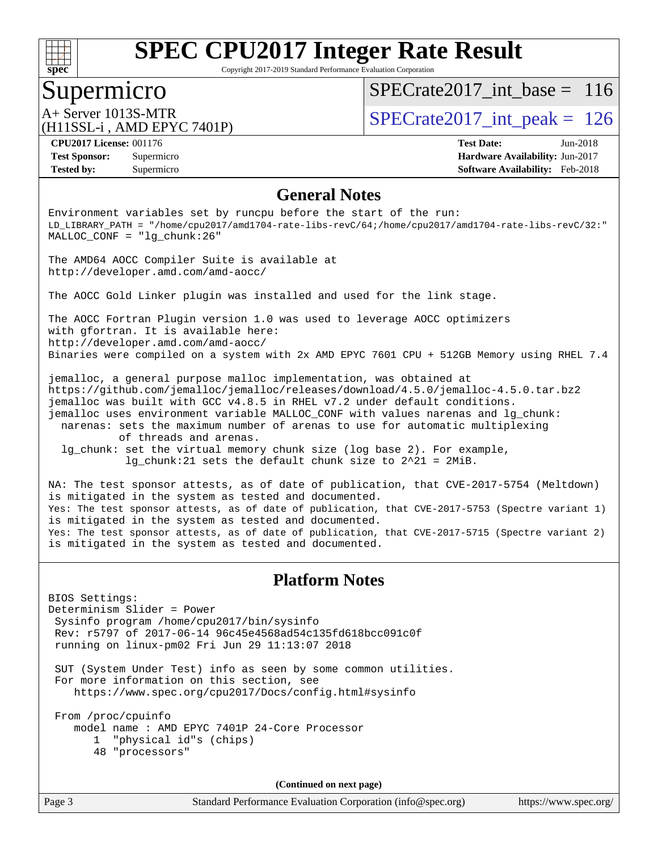

Copyright 2017-2019 Standard Performance Evaluation Corporation

### Supermicro

[SPECrate2017\\_int\\_base =](http://www.spec.org/auto/cpu2017/Docs/result-fields.html#SPECrate2017intbase) 116

(H11SSL-i , AMD EPYC 7401P)

 $A+$  Server 1013S-MTR<br>(H11SSL in AMD EPVC 7401P) SPECrate 2017\_int\_peak = 126

**[Tested by:](http://www.spec.org/auto/cpu2017/Docs/result-fields.html#Testedby)** Supermicro **[Software Availability:](http://www.spec.org/auto/cpu2017/Docs/result-fields.html#SoftwareAvailability)** Feb-2018

**[CPU2017 License:](http://www.spec.org/auto/cpu2017/Docs/result-fields.html#CPU2017License)** 001176 **[Test Date:](http://www.spec.org/auto/cpu2017/Docs/result-fields.html#TestDate)** Jun-2018 **[Test Sponsor:](http://www.spec.org/auto/cpu2017/Docs/result-fields.html#TestSponsor)** Supermicro **[Hardware Availability:](http://www.spec.org/auto/cpu2017/Docs/result-fields.html#HardwareAvailability)** Jun-2017

#### **[General Notes](http://www.spec.org/auto/cpu2017/Docs/result-fields.html#GeneralNotes)**

Environment variables set by runcpu before the start of the run: LD\_LIBRARY\_PATH = "/home/cpu2017/amd1704-rate-libs-revC/64;/home/cpu2017/amd1704-rate-libs-revC/32:" MALLOC\_CONF = "lg\_chunk:26"

The AMD64 AOCC Compiler Suite is available at <http://developer.amd.com/amd-aocc/>

The AOCC Gold Linker plugin was installed and used for the link stage.

The AOCC Fortran Plugin version 1.0 was used to leverage AOCC optimizers with gfortran. It is available here: <http://developer.amd.com/amd-aocc/> Binaries were compiled on a system with 2x AMD EPYC 7601 CPU + 512GB Memory using RHEL 7.4

jemalloc, a general purpose malloc implementation, was obtained at <https://github.com/jemalloc/jemalloc/releases/download/4.5.0/jemalloc-4.5.0.tar.bz2> jemalloc was built with GCC v4.8.5 in RHEL v7.2 under default conditions. jemalloc uses environment variable MALLOC\_CONF with values narenas and lg\_chunk: narenas: sets the maximum number of arenas to use for automatic multiplexing of threads and arenas. lg\_chunk: set the virtual memory chunk size (log base 2). For example,

lg\_chunk:21 sets the default chunk size to 2^21 = 2MiB.

NA: The test sponsor attests, as of date of publication, that CVE-2017-5754 (Meltdown) is mitigated in the system as tested and documented. Yes: The test sponsor attests, as of date of publication, that CVE-2017-5753 (Spectre variant 1) is mitigated in the system as tested and documented. Yes: The test sponsor attests, as of date of publication, that CVE-2017-5715 (Spectre variant 2) is mitigated in the system as tested and documented.

#### **[Platform Notes](http://www.spec.org/auto/cpu2017/Docs/result-fields.html#PlatformNotes)**

BIOS Settings: Determinism Slider = Power Sysinfo program /home/cpu2017/bin/sysinfo Rev: r5797 of 2017-06-14 96c45e4568ad54c135fd618bcc091c0f running on linux-pm02 Fri Jun 29 11:13:07 2018

 SUT (System Under Test) info as seen by some common utilities. For more information on this section, see <https://www.spec.org/cpu2017/Docs/config.html#sysinfo>

 From /proc/cpuinfo model name : AMD EPYC 7401P 24-Core Processor 1 "physical id"s (chips) 48 "processors"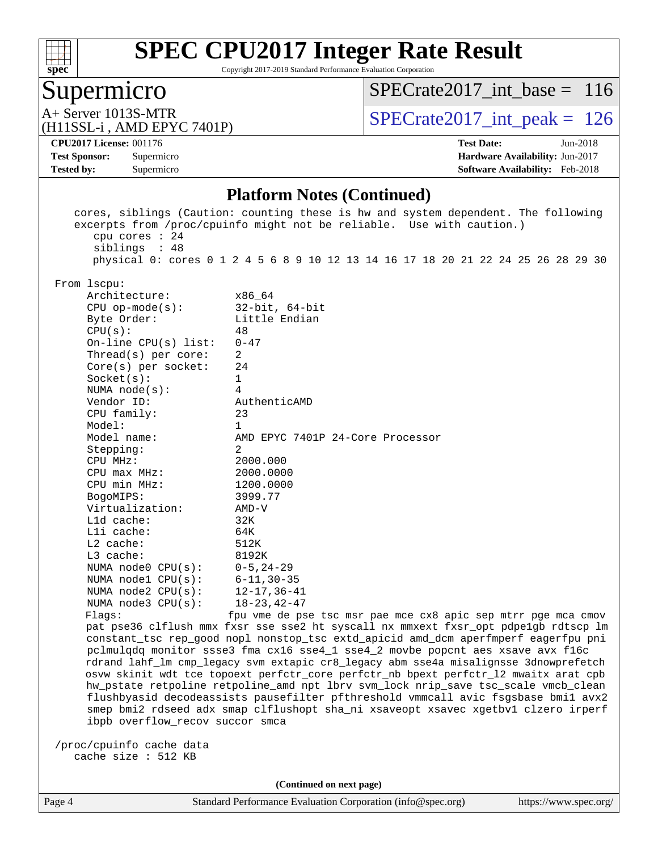

Copyright 2017-2019 Standard Performance Evaluation Corporation

### Supermicro

[SPECrate2017\\_int\\_base =](http://www.spec.org/auto/cpu2017/Docs/result-fields.html#SPECrate2017intbase) 116

A+ Server 1013S-MTR<br>(H11SSL-i, AMD EPYC 7401P)

 $SPECTate 2017\_int\_peak = 126$ 

#### **[CPU2017 License:](http://www.spec.org/auto/cpu2017/Docs/result-fields.html#CPU2017License)** 001176 **[Test Date:](http://www.spec.org/auto/cpu2017/Docs/result-fields.html#TestDate)** Jun-2018

**[Tested by:](http://www.spec.org/auto/cpu2017/Docs/result-fields.html#Testedby)** Supermicro **[Software Availability:](http://www.spec.org/auto/cpu2017/Docs/result-fields.html#SoftwareAvailability)** Feb-2018

**[Test Sponsor:](http://www.spec.org/auto/cpu2017/Docs/result-fields.html#TestSponsor)** Supermicro **[Hardware Availability:](http://www.spec.org/auto/cpu2017/Docs/result-fields.html#HardwareAvailability)** Jun-2017

#### **[Platform Notes \(Continued\)](http://www.spec.org/auto/cpu2017/Docs/result-fields.html#PlatformNotes)**

| cpu cores $: 24$<br>siblings : 48                                                                                                                                          | cores, siblings (Caution: counting these is hw and system dependent. The following<br>excerpts from /proc/cpuinfo might not be reliable. Use with caution.) |  |  |  |  |  |  |
|----------------------------------------------------------------------------------------------------------------------------------------------------------------------------|-------------------------------------------------------------------------------------------------------------------------------------------------------------|--|--|--|--|--|--|
|                                                                                                                                                                            | physical 0: cores 0 1 2 4 5 6 8 9 10 12 13 14 16 17 18 20 21 22 24 25 26 28 29 30                                                                           |  |  |  |  |  |  |
| From 1scpu:                                                                                                                                                                |                                                                                                                                                             |  |  |  |  |  |  |
| Architecture:                                                                                                                                                              | x86 64                                                                                                                                                      |  |  |  |  |  |  |
| $CPU$ op-mode( $s$ ):                                                                                                                                                      | $32$ -bit, $64$ -bit                                                                                                                                        |  |  |  |  |  |  |
| Byte Order:                                                                                                                                                                | Little Endian                                                                                                                                               |  |  |  |  |  |  |
| CPU(s):                                                                                                                                                                    | 48                                                                                                                                                          |  |  |  |  |  |  |
| On-line $CPU(s)$ list:                                                                                                                                                     | $0 - 47$                                                                                                                                                    |  |  |  |  |  |  |
| Thread( $s$ ) per core:                                                                                                                                                    | 2                                                                                                                                                           |  |  |  |  |  |  |
| Core(s) per socket:                                                                                                                                                        | 24                                                                                                                                                          |  |  |  |  |  |  |
| Socket(s):                                                                                                                                                                 | 1                                                                                                                                                           |  |  |  |  |  |  |
| NUMA $node(s):$                                                                                                                                                            | 4                                                                                                                                                           |  |  |  |  |  |  |
| Vendor ID:                                                                                                                                                                 | AuthenticAMD                                                                                                                                                |  |  |  |  |  |  |
| CPU family:                                                                                                                                                                | 23                                                                                                                                                          |  |  |  |  |  |  |
| Model:                                                                                                                                                                     | 1                                                                                                                                                           |  |  |  |  |  |  |
| Model name:                                                                                                                                                                | AMD EPYC 7401P 24-Core Processor                                                                                                                            |  |  |  |  |  |  |
| Stepping:                                                                                                                                                                  | $\overline{2}$                                                                                                                                              |  |  |  |  |  |  |
| CPU MHz:                                                                                                                                                                   | 2000.000                                                                                                                                                    |  |  |  |  |  |  |
| CPU max MHz:                                                                                                                                                               | 2000.0000                                                                                                                                                   |  |  |  |  |  |  |
| CPU min MHz:                                                                                                                                                               | 1200.0000                                                                                                                                                   |  |  |  |  |  |  |
| BogoMIPS:                                                                                                                                                                  | 3999.77                                                                                                                                                     |  |  |  |  |  |  |
| Virtualization:                                                                                                                                                            | $AMD-V$                                                                                                                                                     |  |  |  |  |  |  |
| Lld cache:                                                                                                                                                                 | 32K                                                                                                                                                         |  |  |  |  |  |  |
| Lli cache:                                                                                                                                                                 | 64K                                                                                                                                                         |  |  |  |  |  |  |
| L2 cache:                                                                                                                                                                  | 512K                                                                                                                                                        |  |  |  |  |  |  |
| L3 cache:                                                                                                                                                                  | 8192K                                                                                                                                                       |  |  |  |  |  |  |
| NUMA node0 CPU(s):                                                                                                                                                         | $0 - 5$ , 24-29                                                                                                                                             |  |  |  |  |  |  |
| NUMA nodel $CPU(s):$                                                                                                                                                       | $6 - 11, 30 - 35$                                                                                                                                           |  |  |  |  |  |  |
| NUMA $node2$ $CPU(s)$ :                                                                                                                                                    | $12 - 17, 36 - 41$                                                                                                                                          |  |  |  |  |  |  |
| NUMA $node3$ CPU $(s)$ :                                                                                                                                                   | $18 - 23, 42 - 47$                                                                                                                                          |  |  |  |  |  |  |
| Flags:                                                                                                                                                                     | fpu vme de pse tsc msr pae mce cx8 apic sep mtrr pge mca cmov                                                                                               |  |  |  |  |  |  |
| pat pse36 clflush mmx fxsr sse sse2 ht syscall nx mmxext fxsr_opt pdpe1gb rdtscp lm                                                                                        |                                                                                                                                                             |  |  |  |  |  |  |
| constant_tsc rep_good nopl nonstop_tsc extd_apicid amd_dcm aperfmperf eagerfpu pni                                                                                         |                                                                                                                                                             |  |  |  |  |  |  |
| pclmulqdq monitor ssse3 fma cx16 sse4_1 sse4_2 movbe popcnt aes xsave avx f16c                                                                                             |                                                                                                                                                             |  |  |  |  |  |  |
| rdrand lahf_lm cmp_legacy svm extapic cr8_legacy abm sse4a misalignsse 3dnowprefetch                                                                                       |                                                                                                                                                             |  |  |  |  |  |  |
| osvw skinit wdt tce topoext perfctr_core perfctr_nb bpext perfctr_12 mwaitx arat cpb<br>hw_pstate retpoline retpoline_amd npt lbrv svm_lock nrip_save tsc_scale vmcb_clean |                                                                                                                                                             |  |  |  |  |  |  |
|                                                                                                                                                                            | flushbyasid decodeassists pausefilter pfthreshold vmmcall avic fsgsbase bmil avx2                                                                           |  |  |  |  |  |  |
|                                                                                                                                                                            | smep bmi2 rdseed adx smap clflushopt sha_ni xsaveopt xsavec xgetbvl clzero irperf                                                                           |  |  |  |  |  |  |
| ibpb overflow_recov succor smca                                                                                                                                            |                                                                                                                                                             |  |  |  |  |  |  |
|                                                                                                                                                                            |                                                                                                                                                             |  |  |  |  |  |  |
| /proc/cpuinfo cache data                                                                                                                                                   |                                                                                                                                                             |  |  |  |  |  |  |
| cache size : 512 KB                                                                                                                                                        |                                                                                                                                                             |  |  |  |  |  |  |
|                                                                                                                                                                            |                                                                                                                                                             |  |  |  |  |  |  |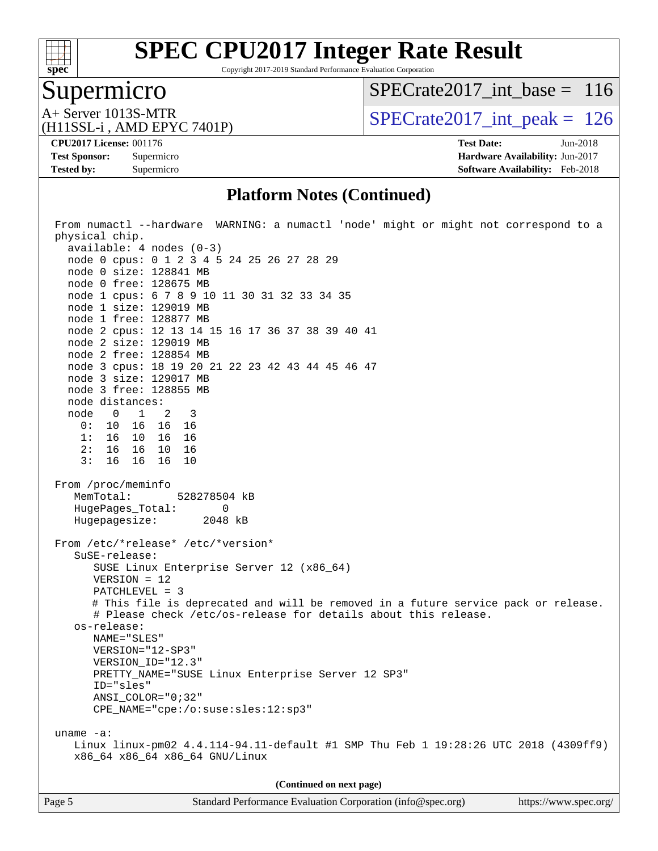

Copyright 2017-2019 Standard Performance Evaluation Corporation

### Supermicro

[SPECrate2017\\_int\\_base =](http://www.spec.org/auto/cpu2017/Docs/result-fields.html#SPECrate2017intbase) 116

(H11SSL-i , AMD EPYC 7401P)

 $A+$  Server 1013S-MTR<br>  $\langle$ H11SSL-i AMD EPYC 7401P) [SPECrate2017\\_int\\_peak =](http://www.spec.org/auto/cpu2017/Docs/result-fields.html#SPECrate2017intpeak) 126

**[CPU2017 License:](http://www.spec.org/auto/cpu2017/Docs/result-fields.html#CPU2017License)** 001176 **[Test Date:](http://www.spec.org/auto/cpu2017/Docs/result-fields.html#TestDate)** Jun-2018

**[Tested by:](http://www.spec.org/auto/cpu2017/Docs/result-fields.html#Testedby)** Supermicro **[Software Availability:](http://www.spec.org/auto/cpu2017/Docs/result-fields.html#SoftwareAvailability)** Feb-2018

**[Test Sponsor:](http://www.spec.org/auto/cpu2017/Docs/result-fields.html#TestSponsor)** Supermicro **[Hardware Availability:](http://www.spec.org/auto/cpu2017/Docs/result-fields.html#HardwareAvailability)** Jun-2017

#### **[Platform Notes \(Continued\)](http://www.spec.org/auto/cpu2017/Docs/result-fields.html#PlatformNotes)**

| From numactl --hardware WARNING: a numactl 'node' might or might not correspond to a<br>physical chip.<br>$available: 4 nodes (0-3)$<br>node 0 cpus: 0 1 2 3 4 5 24 25 26 27 28 29<br>node 0 size: 128841 MB<br>node 0 free: 128675 MB<br>node 1 cpus: 6 7 8 9 10 11 30 31 32 33 34 35<br>node 1 size: 129019 MB<br>node 1 free: 128877 MB<br>node 2 cpus: 12 13 14 15 16 17 36 37 38 39 40 41<br>node 2 size: 129019 MB<br>node 2 free: 128854 MB<br>node 3 cpus: 18 19 20 21 22 23 42 43 44 45 46 47<br>node 3 size: 129017 MB<br>node 3 free: 128855 MB |  |  |  |  |  |  |
|------------------------------------------------------------------------------------------------------------------------------------------------------------------------------------------------------------------------------------------------------------------------------------------------------------------------------------------------------------------------------------------------------------------------------------------------------------------------------------------------------------------------------------------------------------|--|--|--|--|--|--|
| node distances:                                                                                                                                                                                                                                                                                                                                                                                                                                                                                                                                            |  |  |  |  |  |  |
| node 0 1 2 3<br>0: 10 16 16 16                                                                                                                                                                                                                                                                                                                                                                                                                                                                                                                             |  |  |  |  |  |  |
| 1: 16 10 16 16                                                                                                                                                                                                                                                                                                                                                                                                                                                                                                                                             |  |  |  |  |  |  |
| 2: 16 16 10 16                                                                                                                                                                                                                                                                                                                                                                                                                                                                                                                                             |  |  |  |  |  |  |
| 3: 16 16 16<br>10                                                                                                                                                                                                                                                                                                                                                                                                                                                                                                                                          |  |  |  |  |  |  |
| From /proc/meminfo<br>MemTotal: 528278504 kB<br>HugePages_Total: 0<br>Hugepagesize: 2048 kB<br>From /etc/*release* /etc/*version*                                                                                                                                                                                                                                                                                                                                                                                                                          |  |  |  |  |  |  |
| $S$ uSE-release:<br>SUSE Linux Enterprise Server 12 (x86_64)<br>$VERSION = 12$<br>PATCHLEVEL = 3                                                                                                                                                                                                                                                                                                                                                                                                                                                           |  |  |  |  |  |  |
| # This file is deprecated and will be removed in a future service pack or release.                                                                                                                                                                                                                                                                                                                                                                                                                                                                         |  |  |  |  |  |  |
| # Please check /etc/os-release for details about this release.                                                                                                                                                                                                                                                                                                                                                                                                                                                                                             |  |  |  |  |  |  |
| os-release:<br>NAME="SLES"                                                                                                                                                                                                                                                                                                                                                                                                                                                                                                                                 |  |  |  |  |  |  |
| VERSION="12-SP3"                                                                                                                                                                                                                                                                                                                                                                                                                                                                                                                                           |  |  |  |  |  |  |
| VERSION_ID="12.3"                                                                                                                                                                                                                                                                                                                                                                                                                                                                                                                                          |  |  |  |  |  |  |
| PRETTY_NAME="SUSE Linux Enterprise Server 12 SP3"                                                                                                                                                                                                                                                                                                                                                                                                                                                                                                          |  |  |  |  |  |  |
| ID="sles"                                                                                                                                                                                                                                                                                                                                                                                                                                                                                                                                                  |  |  |  |  |  |  |
| ANSI COLOR="0;32"                                                                                                                                                                                                                                                                                                                                                                                                                                                                                                                                          |  |  |  |  |  |  |
| CPE_NAME="cpe:/o:suse:sles:12:sp3"                                                                                                                                                                                                                                                                                                                                                                                                                                                                                                                         |  |  |  |  |  |  |
| uname $-a$ :                                                                                                                                                                                                                                                                                                                                                                                                                                                                                                                                               |  |  |  |  |  |  |
| Linux linux-pm02 4.4.114-94.11-default #1 SMP Thu Feb 1 19:28:26 UTC 2018 (4309ff9)<br>x86_64 x86_64 x86_64 GNU/Linux                                                                                                                                                                                                                                                                                                                                                                                                                                      |  |  |  |  |  |  |
|                                                                                                                                                                                                                                                                                                                                                                                                                                                                                                                                                            |  |  |  |  |  |  |
| (Continued on next page)                                                                                                                                                                                                                                                                                                                                                                                                                                                                                                                                   |  |  |  |  |  |  |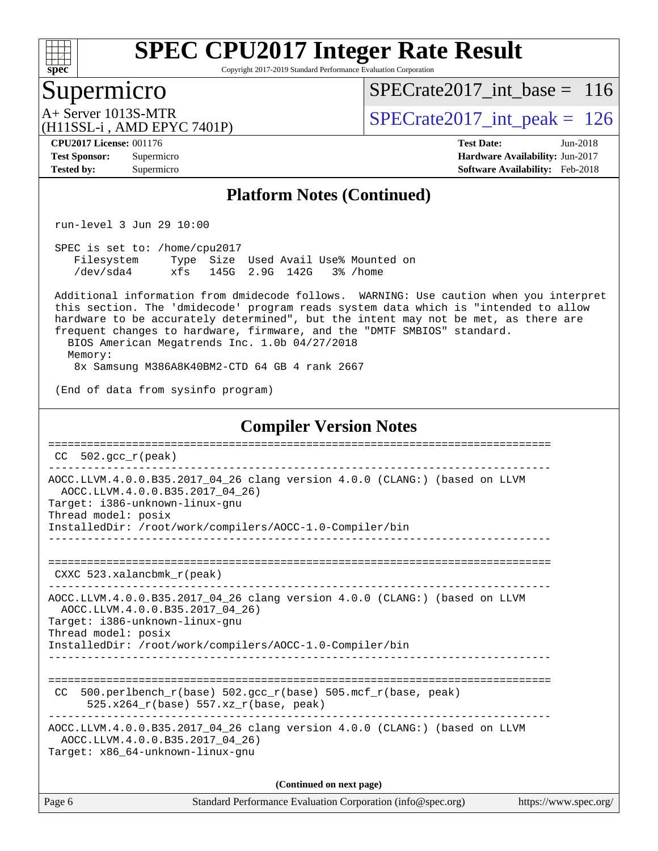

Copyright 2017-2019 Standard Performance Evaluation Corporation

#### Supermicro

[SPECrate2017\\_int\\_base =](http://www.spec.org/auto/cpu2017/Docs/result-fields.html#SPECrate2017intbase) 116

(H11SSL-i , AMD EPYC 7401P)

 $A+$  Server 1013S-MTR<br>  $\langle$ H11SSL-i AMD FPYC 7401P) [SPECrate2017\\_int\\_peak =](http://www.spec.org/auto/cpu2017/Docs/result-fields.html#SPECrate2017intpeak) 126

**[CPU2017 License:](http://www.spec.org/auto/cpu2017/Docs/result-fields.html#CPU2017License)** 001176 **[Test Date:](http://www.spec.org/auto/cpu2017/Docs/result-fields.html#TestDate)** Jun-2018

**[Tested by:](http://www.spec.org/auto/cpu2017/Docs/result-fields.html#Testedby)** Supermicro **[Software Availability:](http://www.spec.org/auto/cpu2017/Docs/result-fields.html#SoftwareAvailability)** Feb-2018

**[Test Sponsor:](http://www.spec.org/auto/cpu2017/Docs/result-fields.html#TestSponsor)** Supermicro **[Hardware Availability:](http://www.spec.org/auto/cpu2017/Docs/result-fields.html#HardwareAvailability)** Jun-2017

#### **[Platform Notes \(Continued\)](http://www.spec.org/auto/cpu2017/Docs/result-fields.html#PlatformNotes)**

run-level 3 Jun 29 10:00

 SPEC is set to: /home/cpu2017 Filesystem Type Size Used Avail Use% Mounted on /dev/sda4 xfs 145G 2.9G 142G 3% /home

 Additional information from dmidecode follows. WARNING: Use caution when you interpret this section. The 'dmidecode' program reads system data which is "intended to allow hardware to be accurately determined", but the intent may not be met, as there are frequent changes to hardware, firmware, and the "DMTF SMBIOS" standard. BIOS American Megatrends Inc. 1.0b 04/27/2018

Memory:

8x Samsung M386A8K40BM2-CTD 64 GB 4 rank 2667

(End of data from sysinfo program)

#### **[Compiler Version Notes](http://www.spec.org/auto/cpu2017/Docs/result-fields.html#CompilerVersionNotes)**

|        | $CC$ 502. $qcc$ $r$ ( $peak$ )                                                                                                                                                                                                                              |
|--------|-------------------------------------------------------------------------------------------------------------------------------------------------------------------------------------------------------------------------------------------------------------|
|        | AOCC.LLVM.4.0.0.B35.2017_04_26 clang version 4.0.0 (CLANG:) (based on LLVM<br>AOCC.LLVM.4.0.0.B35.2017 04 26)<br>Target: i386-unknown-linux-gnu<br>Thread model: posix<br>InstalledDir: /root/work/compilers/AOCC-1.0-Compiler/bin                          |
|        | CXXC $523.$ xalancbmk $r$ (peak)                                                                                                                                                                                                                            |
|        | AOCC.LLVM.4.0.0.B35.2017_04_26 clang version 4.0.0 (CLANG:) (based on LLVM<br>AOCC.LLVM.4.0.0.B35.2017 04 26)<br>Target: i386-unknown-linux-gnu<br>Thread model: posix<br>InstalledDir: /root/work/compilers/AOCC-1.0-Compiler/bin<br>_____________________ |
| CC.    | $500.perlbench_r(base) 502.sec_r(base) 505.mcf_r(base, peak)$<br>$525.x264_r(base) 557.xz_r(base, peak)$                                                                                                                                                    |
|        | AOCC.LLVM.4.0.0.B35.2017 04 26 clang version 4.0.0 (CLANG:) (based on LLVM<br>AOCC.LLVM.4.0.0.B35.2017_04_26)<br>Target: x86 64-unknown-linux-gnu                                                                                                           |
|        | (Continued on next page)                                                                                                                                                                                                                                    |
| Page 6 | Standard Performance Evaluation Corporation (info@spec.org)<br>https://www.spec.or                                                                                                                                                                          |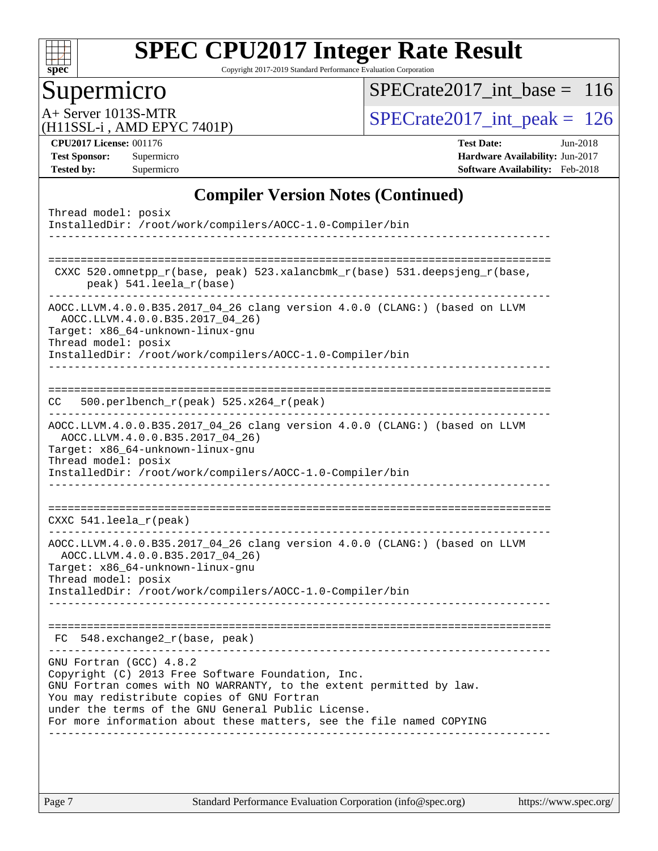

Copyright 2017-2019 Standard Performance Evaluation Corporation

### Supermicro

[SPECrate2017\\_int\\_base =](http://www.spec.org/auto/cpu2017/Docs/result-fields.html#SPECrate2017intbase) 116

A+ Server 1013S-MTR<br>(H11SSL-i, AMD EPYC 7401P)

 $SPECTate 2017\_int\_peak = 126$ 

**[CPU2017 License:](http://www.spec.org/auto/cpu2017/Docs/result-fields.html#CPU2017License)** 001176 **[Test Date:](http://www.spec.org/auto/cpu2017/Docs/result-fields.html#TestDate)** Jun-2018

**[Test Sponsor:](http://www.spec.org/auto/cpu2017/Docs/result-fields.html#TestSponsor)** Supermicro **[Hardware Availability:](http://www.spec.org/auto/cpu2017/Docs/result-fields.html#HardwareAvailability)** Jun-2017 **[Tested by:](http://www.spec.org/auto/cpu2017/Docs/result-fields.html#Testedby)** Supermicro **[Software Availability:](http://www.spec.org/auto/cpu2017/Docs/result-fields.html#SoftwareAvailability)** Feb-2018

#### **[Compiler Version Notes \(Continued\)](http://www.spec.org/auto/cpu2017/Docs/result-fields.html#CompilerVersionNotes)**

| Thread model: posix<br>InstalledDir: /root/work/compilers/AOCC-1.0-Compiler/bin                                                                                                                                                                                                                                                 |
|---------------------------------------------------------------------------------------------------------------------------------------------------------------------------------------------------------------------------------------------------------------------------------------------------------------------------------|
| CXXC 520.omnetpp_r(base, peak) 523.xalancbmk_r(base) 531.deepsjeng_r(base,<br>peak) 541.leela_r(base)                                                                                                                                                                                                                           |
| AOCC.LLVM.4.0.0.B35.2017_04_26 clang version 4.0.0 (CLANG:) (based on LLVM<br>AOCC.LLVM.4.0.0.B35.2017_04_26)<br>Target: x86_64-unknown-linux-gnu<br>Thread model: posix<br>InstalledDir: /root/work/compilers/AOCC-1.0-Compiler/bin                                                                                            |
| 500.perlbench_r(peak) 525.x264_r(peak)<br>CC.                                                                                                                                                                                                                                                                                   |
| AOCC.LLVM.4.0.0.B35.2017_04_26 clang version 4.0.0 (CLANG:) (based on LLVM<br>AOCC.LLVM.4.0.0.B35.2017 04 26)<br>Target: x86_64-unknown-linux-gnu<br>Thread model: posix<br>InstalledDir: /root/work/compilers/AOCC-1.0-Compiler/bin                                                                                            |
| CXXC 541. leela $r(\text{peak})$                                                                                                                                                                                                                                                                                                |
| AOCC.LLVM.4.0.0.B35.2017_04_26 clang version 4.0.0 (CLANG:) (based on LLVM<br>AOCC.LLVM.4.0.0.B35.2017_04_26)<br>Target: x86 64-unknown-linux-gnu<br>Thread model: posix<br>InstalledDir: /root/work/compilers/AOCC-1.0-Compiler/bin                                                                                            |
| $548$ . exchange2 $r(base, peak)$<br>FC.                                                                                                                                                                                                                                                                                        |
| GNU Fortran (GCC) 4.8.2<br>Copyright (C) 2013 Free Software Foundation, Inc.<br>GNU Fortran comes with NO WARRANTY, to the extent permitted by law.<br>You may redistribute copies of GNU Fortran<br>under the terms of the GNU General Public License.<br>For more information about these matters, see the file named COPYING |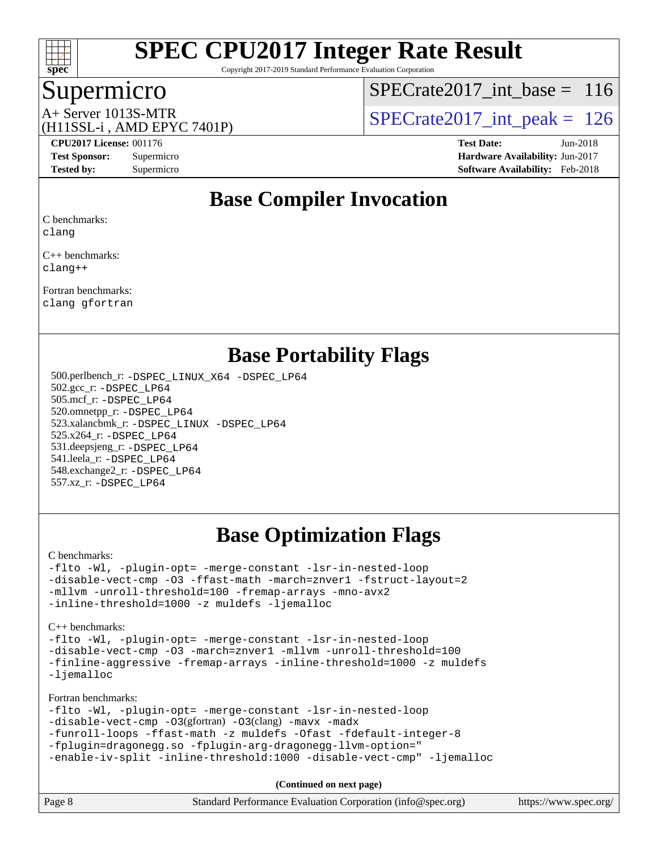

Copyright 2017-2019 Standard Performance Evaluation Corporation

#### Supermicro

[SPECrate2017\\_int\\_base =](http://www.spec.org/auto/cpu2017/Docs/result-fields.html#SPECrate2017intbase) 116

### (H11SSL-i , AMD EPYC 7401P)

 $A+$  Server 1013S-MTR<br>(H11SSL in AMD EPVC 7401P) SPECrate 2017\_int\_peak = 126

**[Tested by:](http://www.spec.org/auto/cpu2017/Docs/result-fields.html#Testedby)** Supermicro **[Software Availability:](http://www.spec.org/auto/cpu2017/Docs/result-fields.html#SoftwareAvailability)** Feb-2018

**[CPU2017 License:](http://www.spec.org/auto/cpu2017/Docs/result-fields.html#CPU2017License)** 001176 **[Test Date:](http://www.spec.org/auto/cpu2017/Docs/result-fields.html#TestDate)** Jun-2018 **[Test Sponsor:](http://www.spec.org/auto/cpu2017/Docs/result-fields.html#TestSponsor)** Supermicro **[Hardware Availability:](http://www.spec.org/auto/cpu2017/Docs/result-fields.html#HardwareAvailability)** Jun-2017

### **[Base Compiler Invocation](http://www.spec.org/auto/cpu2017/Docs/result-fields.html#BaseCompilerInvocation)**

[C benchmarks](http://www.spec.org/auto/cpu2017/Docs/result-fields.html#Cbenchmarks):

[clang](http://www.spec.org/cpu2017/results/res2018q3/cpu2017-20180710-07767.flags.html#user_CCbase_Fclang3)

[C++ benchmarks:](http://www.spec.org/auto/cpu2017/Docs/result-fields.html#CXXbenchmarks) [clang++](http://www.spec.org/cpu2017/results/res2018q3/cpu2017-20180710-07767.flags.html#user_CXXbase_Fclang3_57a48582e5be507d19b2527b3e7d4f85d9b8669ffc9a8a0dbb9bcf949a918a58bbab411e0c4d14a3922022a3e425a90db94042683824c1806feff4324ca1000d)

[Fortran benchmarks](http://www.spec.org/auto/cpu2017/Docs/result-fields.html#Fortranbenchmarks): [clang](http://www.spec.org/cpu2017/results/res2018q3/cpu2017-20180710-07767.flags.html#user_FCbase_Fclang3) [gfortran](http://www.spec.org/cpu2017/results/res2018q3/cpu2017-20180710-07767.flags.html#user_FCbase_gfortran)

#### **[Base Portability Flags](http://www.spec.org/auto/cpu2017/Docs/result-fields.html#BasePortabilityFlags)**

 500.perlbench\_r: [-DSPEC\\_LINUX\\_X64](http://www.spec.org/cpu2017/results/res2018q3/cpu2017-20180710-07767.flags.html#b500.perlbench_r_basePORTABILITY_DSPEC_LINUX_X64) [-DSPEC\\_LP64](http://www.spec.org/cpu2017/results/res2018q3/cpu2017-20180710-07767.flags.html#b500.perlbench_r_baseEXTRA_PORTABILITY_DSPEC_LP64) 502.gcc\_r: [-DSPEC\\_LP64](http://www.spec.org/cpu2017/results/res2018q3/cpu2017-20180710-07767.flags.html#suite_baseEXTRA_PORTABILITY502_gcc_r_DSPEC_LP64) 505.mcf\_r: [-DSPEC\\_LP64](http://www.spec.org/cpu2017/results/res2018q3/cpu2017-20180710-07767.flags.html#suite_baseEXTRA_PORTABILITY505_mcf_r_DSPEC_LP64) 520.omnetpp\_r: [-DSPEC\\_LP64](http://www.spec.org/cpu2017/results/res2018q3/cpu2017-20180710-07767.flags.html#suite_baseEXTRA_PORTABILITY520_omnetpp_r_DSPEC_LP64) 523.xalancbmk\_r: [-DSPEC\\_LINUX](http://www.spec.org/cpu2017/results/res2018q3/cpu2017-20180710-07767.flags.html#b523.xalancbmk_r_basePORTABILITY_DSPEC_LINUX) [-DSPEC\\_LP64](http://www.spec.org/cpu2017/results/res2018q3/cpu2017-20180710-07767.flags.html#suite_baseEXTRA_PORTABILITY523_xalancbmk_r_DSPEC_LP64) 525.x264\_r: [-DSPEC\\_LP64](http://www.spec.org/cpu2017/results/res2018q3/cpu2017-20180710-07767.flags.html#suite_baseEXTRA_PORTABILITY525_x264_r_DSPEC_LP64) 531.deepsjeng\_r: [-DSPEC\\_LP64](http://www.spec.org/cpu2017/results/res2018q3/cpu2017-20180710-07767.flags.html#suite_baseEXTRA_PORTABILITY531_deepsjeng_r_DSPEC_LP64) 541.leela\_r: [-DSPEC\\_LP64](http://www.spec.org/cpu2017/results/res2018q3/cpu2017-20180710-07767.flags.html#suite_baseEXTRA_PORTABILITY541_leela_r_DSPEC_LP64) 548.exchange2\_r: [-DSPEC\\_LP64](http://www.spec.org/cpu2017/results/res2018q3/cpu2017-20180710-07767.flags.html#suite_baseEXTRA_PORTABILITY548_exchange2_r_DSPEC_LP64) 557.xz\_r: [-DSPEC\\_LP64](http://www.spec.org/cpu2017/results/res2018q3/cpu2017-20180710-07767.flags.html#suite_baseEXTRA_PORTABILITY557_xz_r_DSPEC_LP64)

### **[Base Optimization Flags](http://www.spec.org/auto/cpu2017/Docs/result-fields.html#BaseOptimizationFlags)**

[C benchmarks](http://www.spec.org/auto/cpu2017/Docs/result-fields.html#Cbenchmarks):

[-flto](http://www.spec.org/cpu2017/results/res2018q3/cpu2017-20180710-07767.flags.html#user_CCbase_F-flto) [-Wl,](http://www.spec.org/cpu2017/results/res2018q3/cpu2017-20180710-07767.flags.html#user_CCbase_F-Wl_5f669859b7c1a0295edc4f5fd536c381023f180a987810cb5cfa1d9467a27ac14b13770b9732d7618b24fc778f3dfdf68b65521d505fc870281e0142944925a0) [-plugin-opt=](http://www.spec.org/cpu2017/results/res2018q3/cpu2017-20180710-07767.flags.html#user_CCbase_F-plugin-opt_772899571bb6157e4b8feeb3276e6c06dec41c1bbb0aa637c8700742a4baaf7e7b56061e32ae2365a76a44d8c448177ca3ee066cdf7537598ff772fc461942c2) [-merge-constant](http://www.spec.org/cpu2017/results/res2018q3/cpu2017-20180710-07767.flags.html#user_CCbase_F-merge-constant_bdb3ec75d21d5cf0ab1961ebe7105d0ea3b0c6d89a312cf7efc1d107e6c56c92c36b5d564d0702d1e2526f6b92f188b4413eb5a54b1f9e4a41f5a9bfc0233b92) [-lsr-in-nested-loop](http://www.spec.org/cpu2017/results/res2018q3/cpu2017-20180710-07767.flags.html#user_CCbase_F-lsr-in-nested-loop) [-disable-vect-cmp](http://www.spec.org/cpu2017/results/res2018q3/cpu2017-20180710-07767.flags.html#user_CCbase_F-disable-vect-cmp) [-O3](http://www.spec.org/cpu2017/results/res2018q3/cpu2017-20180710-07767.flags.html#user_CCbase_F-O3) [-ffast-math](http://www.spec.org/cpu2017/results/res2018q3/cpu2017-20180710-07767.flags.html#user_CCbase_F-ffast-math) [-march=znver1](http://www.spec.org/cpu2017/results/res2018q3/cpu2017-20180710-07767.flags.html#user_CCbase_march_082ab2c5e8f99f69c47c63adfdc26f9617958cc68d0b5dbfb7aa6935cde4c91d5d9c2fdc24e6781fa8a0299196f2f4ca8e995f825d797de797910507b4251bb3) [-fstruct-layout=2](http://www.spec.org/cpu2017/results/res2018q3/cpu2017-20180710-07767.flags.html#user_CCbase_F-fstruct-layout_a05ec02e17cdf7fe0c3950a6b005251b2b1e5e67af2b5298cf72714730c3d59ba290e75546b10aa22dac074c15ceaca36ae22c62cb51bcb2fbdc9dc4e7e222c4) [-mllvm](http://www.spec.org/cpu2017/results/res2018q3/cpu2017-20180710-07767.flags.html#user_CCbase_F-mllvm_76e3f86ef8d8cc4dfa84cec42d531db351fee284f72cd5d644b5bdbef9c2604296512be6a431d9e19d0523544399ea9dd745afc2fff755a0705d428460dc659e) [-unroll-threshold=100](http://www.spec.org/cpu2017/results/res2018q3/cpu2017-20180710-07767.flags.html#user_CCbase_F-unroll-threshold) [-fremap-arrays](http://www.spec.org/cpu2017/results/res2018q3/cpu2017-20180710-07767.flags.html#user_CCbase_F-fremap-arrays) [-mno-avx2](http://www.spec.org/cpu2017/results/res2018q3/cpu2017-20180710-07767.flags.html#user_CCbase_F-mno-avx2) [-inline-threshold=1000](http://www.spec.org/cpu2017/results/res2018q3/cpu2017-20180710-07767.flags.html#user_CCbase_F-inline-threshold_1daf3e0321a7a0c1ea19068c818f3f119b1e5dfc986cc791557791f4b93536c1546ba0c8585f62303269f504aa232e0ca278e8489928152e32e0752215741730) [-z muldefs](http://www.spec.org/cpu2017/results/res2018q3/cpu2017-20180710-07767.flags.html#user_CCbase_zmuldefs) [-ljemalloc](http://www.spec.org/cpu2017/results/res2018q3/cpu2017-20180710-07767.flags.html#user_CCbase_F-ljemalloc)

[C++ benchmarks:](http://www.spec.org/auto/cpu2017/Docs/result-fields.html#CXXbenchmarks)

[-flto](http://www.spec.org/cpu2017/results/res2018q3/cpu2017-20180710-07767.flags.html#user_CXXbase_F-flto) [-Wl,](http://www.spec.org/cpu2017/results/res2018q3/cpu2017-20180710-07767.flags.html#user_CXXbase_F-Wl_5f669859b7c1a0295edc4f5fd536c381023f180a987810cb5cfa1d9467a27ac14b13770b9732d7618b24fc778f3dfdf68b65521d505fc870281e0142944925a0) [-plugin-opt=](http://www.spec.org/cpu2017/results/res2018q3/cpu2017-20180710-07767.flags.html#user_CXXbase_F-plugin-opt_772899571bb6157e4b8feeb3276e6c06dec41c1bbb0aa637c8700742a4baaf7e7b56061e32ae2365a76a44d8c448177ca3ee066cdf7537598ff772fc461942c2) [-merge-constant](http://www.spec.org/cpu2017/results/res2018q3/cpu2017-20180710-07767.flags.html#user_CXXbase_F-merge-constant_bdb3ec75d21d5cf0ab1961ebe7105d0ea3b0c6d89a312cf7efc1d107e6c56c92c36b5d564d0702d1e2526f6b92f188b4413eb5a54b1f9e4a41f5a9bfc0233b92) [-lsr-in-nested-loop](http://www.spec.org/cpu2017/results/res2018q3/cpu2017-20180710-07767.flags.html#user_CXXbase_F-lsr-in-nested-loop) [-disable-vect-cmp](http://www.spec.org/cpu2017/results/res2018q3/cpu2017-20180710-07767.flags.html#user_CXXbase_F-disable-vect-cmp) [-O3](http://www.spec.org/cpu2017/results/res2018q3/cpu2017-20180710-07767.flags.html#user_CXXbase_F-O3) [-march=znver1](http://www.spec.org/cpu2017/results/res2018q3/cpu2017-20180710-07767.flags.html#user_CXXbase_march_082ab2c5e8f99f69c47c63adfdc26f9617958cc68d0b5dbfb7aa6935cde4c91d5d9c2fdc24e6781fa8a0299196f2f4ca8e995f825d797de797910507b4251bb3) [-mllvm](http://www.spec.org/cpu2017/results/res2018q3/cpu2017-20180710-07767.flags.html#user_CXXbase_F-mllvm_76e3f86ef8d8cc4dfa84cec42d531db351fee284f72cd5d644b5bdbef9c2604296512be6a431d9e19d0523544399ea9dd745afc2fff755a0705d428460dc659e) [-unroll-threshold=100](http://www.spec.org/cpu2017/results/res2018q3/cpu2017-20180710-07767.flags.html#user_CXXbase_F-unroll-threshold) [-finline-aggressive](http://www.spec.org/cpu2017/results/res2018q3/cpu2017-20180710-07767.flags.html#user_CXXbase_F-finline-aggressive) [-fremap-arrays](http://www.spec.org/cpu2017/results/res2018q3/cpu2017-20180710-07767.flags.html#user_CXXbase_F-fremap-arrays) [-inline-threshold=1000](http://www.spec.org/cpu2017/results/res2018q3/cpu2017-20180710-07767.flags.html#user_CXXbase_F-inline-threshold_1daf3e0321a7a0c1ea19068c818f3f119b1e5dfc986cc791557791f4b93536c1546ba0c8585f62303269f504aa232e0ca278e8489928152e32e0752215741730) [-z muldefs](http://www.spec.org/cpu2017/results/res2018q3/cpu2017-20180710-07767.flags.html#user_CXXbase_zmuldefs) [-ljemalloc](http://www.spec.org/cpu2017/results/res2018q3/cpu2017-20180710-07767.flags.html#user_CXXbase_F-ljemalloc)

[Fortran benchmarks](http://www.spec.org/auto/cpu2017/Docs/result-fields.html#Fortranbenchmarks):

[-flto](http://www.spec.org/cpu2017/results/res2018q3/cpu2017-20180710-07767.flags.html#user_FCbase_F-flto) [-Wl,](http://www.spec.org/cpu2017/results/res2018q3/cpu2017-20180710-07767.flags.html#user_FCbase_F-Wl_5f669859b7c1a0295edc4f5fd536c381023f180a987810cb5cfa1d9467a27ac14b13770b9732d7618b24fc778f3dfdf68b65521d505fc870281e0142944925a0) [-plugin-opt=](http://www.spec.org/cpu2017/results/res2018q3/cpu2017-20180710-07767.flags.html#user_FCbase_F-plugin-opt_772899571bb6157e4b8feeb3276e6c06dec41c1bbb0aa637c8700742a4baaf7e7b56061e32ae2365a76a44d8c448177ca3ee066cdf7537598ff772fc461942c2) [-merge-constant](http://www.spec.org/cpu2017/results/res2018q3/cpu2017-20180710-07767.flags.html#user_FCbase_F-merge-constant_bdb3ec75d21d5cf0ab1961ebe7105d0ea3b0c6d89a312cf7efc1d107e6c56c92c36b5d564d0702d1e2526f6b92f188b4413eb5a54b1f9e4a41f5a9bfc0233b92) [-lsr-in-nested-loop](http://www.spec.org/cpu2017/results/res2018q3/cpu2017-20180710-07767.flags.html#user_FCbase_F-lsr-in-nested-loop)

[-disable-vect-cmp](http://www.spec.org/cpu2017/results/res2018q3/cpu2017-20180710-07767.flags.html#user_FCbase_F-disable-vect-cmp) [-O3](http://www.spec.org/cpu2017/results/res2018q3/cpu2017-20180710-07767.flags.html#user_FCbase_Olevel-gcc_2a8c613e11e2962ae78d693398304d6f1c12fa10320380cff05dd109643c60bb04214353a55f02d8022371d19f6dd940085da69c3a4516b2b7029e64f867e782)(gfortran) [-O3](http://www.spec.org/cpu2017/results/res2018q3/cpu2017-20180710-07767.flags.html#user_FCbase_F-O3)(clang) [-mavx](http://www.spec.org/cpu2017/results/res2018q3/cpu2017-20180710-07767.flags.html#user_FCbase_F-mavx) [-madx](http://www.spec.org/cpu2017/results/res2018q3/cpu2017-20180710-07767.flags.html#user_FCbase_F-madx)

[-funroll-loops](http://www.spec.org/cpu2017/results/res2018q3/cpu2017-20180710-07767.flags.html#user_FCbase_F-funroll-loops) [-ffast-math](http://www.spec.org/cpu2017/results/res2018q3/cpu2017-20180710-07767.flags.html#user_FCbase_F-ffast-math) [-z muldefs](http://www.spec.org/cpu2017/results/res2018q3/cpu2017-20180710-07767.flags.html#user_FCbase_zmuldefs) [-Ofast](http://www.spec.org/cpu2017/results/res2018q3/cpu2017-20180710-07767.flags.html#user_FCbase_F-Ofast) [-fdefault-integer-8](http://www.spec.org/cpu2017/results/res2018q3/cpu2017-20180710-07767.flags.html#user_FCbase_F-fdefault-integer-8)

[-fplugin=dragonegg.so](http://www.spec.org/cpu2017/results/res2018q3/cpu2017-20180710-07767.flags.html#user_FCbase_F-fpluginDragonEgg) [-fplugin-arg-dragonegg-llvm-option="](http://www.spec.org/cpu2017/results/res2018q3/cpu2017-20180710-07767.flags.html#user_FCbase_F-fplugin-arg-dragonegg-llvm-option_98400a9ab866ed0085f1e7306b6fe3b9aac45e0c6ce6c4c776296af40a6f95ac09a5771072dd0b0cdcb566a3e79e79d2a726fc48d436745311228115dad9979d)

[-enable-iv-split](http://www.spec.org/cpu2017/results/res2018q3/cpu2017-20180710-07767.flags.html#user_FCbase_F-enable-iv-split) [-inline-threshold:1000](http://www.spec.org/cpu2017/results/res2018q3/cpu2017-20180710-07767.flags.html#user_FCbase_F-dragonegg-llvm-inline-threshold_aa239847abba08b4fba7c30a23f09e702847eca9c932ccbab9b5a98e59cdcbf3c2e1c25e08a0c44d3e4949b21c0afb0ca84a2f3587da11db66c46a8d7dd698b3) [-disable-vect-cmp"](http://www.spec.org/cpu2017/results/res2018q3/cpu2017-20180710-07767.flags.html#user_FCbase_F-dragonegg-llvm-disable-vect-cmp_6cf351a29613b68bfdbd040d3e22ab0ce250093fe1c4f1b0b3e19cc513bf9fe59893782c14402abfbebd018ed2d47d139a1a3c59a802b3eac454540228820b23) [-ljemalloc](http://www.spec.org/cpu2017/results/res2018q3/cpu2017-20180710-07767.flags.html#user_FCbase_F-ljemalloc)

| Page 8 | Standard Performance Evaluation Corporation (info@spec.org) | https://www.spec.org/ |
|--------|-------------------------------------------------------------|-----------------------|
|--------|-------------------------------------------------------------|-----------------------|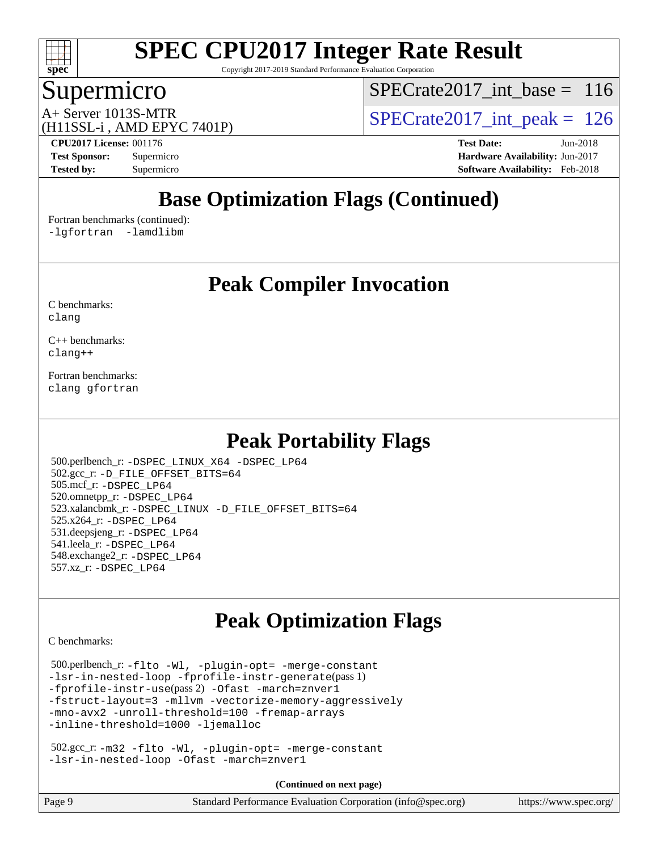

Copyright 2017-2019 Standard Performance Evaluation Corporation

### Supermicro

[SPECrate2017\\_int\\_base =](http://www.spec.org/auto/cpu2017/Docs/result-fields.html#SPECrate2017intbase) 116

(H11SSL-i , AMD EPYC 7401P)

 $A+$  Server 1013S-MTR<br>(H11SSL in AMD EPVC 7401P) SPECrate 2017\_int\_peak = 126

**[CPU2017 License:](http://www.spec.org/auto/cpu2017/Docs/result-fields.html#CPU2017License)** 001176 **[Test Date:](http://www.spec.org/auto/cpu2017/Docs/result-fields.html#TestDate)** Jun-2018 **[Test Sponsor:](http://www.spec.org/auto/cpu2017/Docs/result-fields.html#TestSponsor)** Supermicro **[Hardware Availability:](http://www.spec.org/auto/cpu2017/Docs/result-fields.html#HardwareAvailability)** Jun-2017 **[Tested by:](http://www.spec.org/auto/cpu2017/Docs/result-fields.html#Testedby)** Supermicro **[Software Availability:](http://www.spec.org/auto/cpu2017/Docs/result-fields.html#SoftwareAvailability)** Feb-2018

### **[Base Optimization Flags \(Continued\)](http://www.spec.org/auto/cpu2017/Docs/result-fields.html#BaseOptimizationFlags)**

[Fortran benchmarks](http://www.spec.org/auto/cpu2017/Docs/result-fields.html#Fortranbenchmarks) (continued): [-lgfortran](http://www.spec.org/cpu2017/results/res2018q3/cpu2017-20180710-07767.flags.html#user_FCbase_F-lgfortran_aee53aa7918ae35ea4e5035d616421204ae8a638c05873868b1aa8743e73ef3f738c1d9cddaea8bce7f96e18015ec2f72d6588008f90a113075c46bd34a5e3c3) [-lamdlibm](http://www.spec.org/cpu2017/results/res2018q3/cpu2017-20180710-07767.flags.html#user_FCbase_F-lamdlibm_1db3d84841b8a1b4efe9441895380ccb52ec69ae4c885fce609f880d1f58d8b3c2693ad984247faf1d5c0b0abc492f2987ed2911d4dbfc830003ff87fe5a2273) 

**[Peak Compiler Invocation](http://www.spec.org/auto/cpu2017/Docs/result-fields.html#PeakCompilerInvocation)**

[C benchmarks](http://www.spec.org/auto/cpu2017/Docs/result-fields.html#Cbenchmarks): [clang](http://www.spec.org/cpu2017/results/res2018q3/cpu2017-20180710-07767.flags.html#user_CCpeak_Fclang3)

[C++ benchmarks:](http://www.spec.org/auto/cpu2017/Docs/result-fields.html#CXXbenchmarks) [clang++](http://www.spec.org/cpu2017/results/res2018q3/cpu2017-20180710-07767.flags.html#user_CXXpeak_Fclang3_57a48582e5be507d19b2527b3e7d4f85d9b8669ffc9a8a0dbb9bcf949a918a58bbab411e0c4d14a3922022a3e425a90db94042683824c1806feff4324ca1000d)

[Fortran benchmarks](http://www.spec.org/auto/cpu2017/Docs/result-fields.html#Fortranbenchmarks): [clang](http://www.spec.org/cpu2017/results/res2018q3/cpu2017-20180710-07767.flags.html#user_FCpeak_Fclang3) [gfortran](http://www.spec.org/cpu2017/results/res2018q3/cpu2017-20180710-07767.flags.html#user_FCpeak_gfortran)

### **[Peak Portability Flags](http://www.spec.org/auto/cpu2017/Docs/result-fields.html#PeakPortabilityFlags)**

 500.perlbench\_r: [-DSPEC\\_LINUX\\_X64](http://www.spec.org/cpu2017/results/res2018q3/cpu2017-20180710-07767.flags.html#b500.perlbench_r_peakPORTABILITY_DSPEC_LINUX_X64) [-DSPEC\\_LP64](http://www.spec.org/cpu2017/results/res2018q3/cpu2017-20180710-07767.flags.html#b500.perlbench_r_peakEXTRA_PORTABILITY_DSPEC_LP64) 502.gcc\_r: [-D\\_FILE\\_OFFSET\\_BITS=64](http://www.spec.org/cpu2017/results/res2018q3/cpu2017-20180710-07767.flags.html#user_peakEXTRA_PORTABILITY502_gcc_r_F-D_FILE_OFFSET_BITS:64) 505.mcf\_r: [-DSPEC\\_LP64](http://www.spec.org/cpu2017/results/res2018q3/cpu2017-20180710-07767.flags.html#suite_peakEXTRA_PORTABILITY505_mcf_r_DSPEC_LP64) 520.omnetpp\_r: [-DSPEC\\_LP64](http://www.spec.org/cpu2017/results/res2018q3/cpu2017-20180710-07767.flags.html#suite_peakEXTRA_PORTABILITY520_omnetpp_r_DSPEC_LP64) 523.xalancbmk\_r: [-DSPEC\\_LINUX](http://www.spec.org/cpu2017/results/res2018q3/cpu2017-20180710-07767.flags.html#b523.xalancbmk_r_peakPORTABILITY_DSPEC_LINUX) [-D\\_FILE\\_OFFSET\\_BITS=64](http://www.spec.org/cpu2017/results/res2018q3/cpu2017-20180710-07767.flags.html#user_peakEXTRA_PORTABILITY523_xalancbmk_r_F-D_FILE_OFFSET_BITS:64) 525.x264\_r: [-DSPEC\\_LP64](http://www.spec.org/cpu2017/results/res2018q3/cpu2017-20180710-07767.flags.html#suite_peakEXTRA_PORTABILITY525_x264_r_DSPEC_LP64) 531.deepsjeng\_r: [-DSPEC\\_LP64](http://www.spec.org/cpu2017/results/res2018q3/cpu2017-20180710-07767.flags.html#suite_peakEXTRA_PORTABILITY531_deepsjeng_r_DSPEC_LP64) 541.leela\_r: [-DSPEC\\_LP64](http://www.spec.org/cpu2017/results/res2018q3/cpu2017-20180710-07767.flags.html#suite_peakEXTRA_PORTABILITY541_leela_r_DSPEC_LP64) 548.exchange2\_r: [-DSPEC\\_LP64](http://www.spec.org/cpu2017/results/res2018q3/cpu2017-20180710-07767.flags.html#suite_peakEXTRA_PORTABILITY548_exchange2_r_DSPEC_LP64) 557.xz\_r: [-DSPEC\\_LP64](http://www.spec.org/cpu2017/results/res2018q3/cpu2017-20180710-07767.flags.html#suite_peakEXTRA_PORTABILITY557_xz_r_DSPEC_LP64)

### **[Peak Optimization Flags](http://www.spec.org/auto/cpu2017/Docs/result-fields.html#PeakOptimizationFlags)**

[C benchmarks](http://www.spec.org/auto/cpu2017/Docs/result-fields.html#Cbenchmarks):

 500.perlbench\_r: [-flto](http://www.spec.org/cpu2017/results/res2018q3/cpu2017-20180710-07767.flags.html#user_peakCOPTIMIZEEXTRA_LDFLAGS500_perlbench_r_F-flto) [-Wl,](http://www.spec.org/cpu2017/results/res2018q3/cpu2017-20180710-07767.flags.html#user_peakEXTRA_LDFLAGS500_perlbench_r_F-Wl_5f669859b7c1a0295edc4f5fd536c381023f180a987810cb5cfa1d9467a27ac14b13770b9732d7618b24fc778f3dfdf68b65521d505fc870281e0142944925a0) [-plugin-opt=](http://www.spec.org/cpu2017/results/res2018q3/cpu2017-20180710-07767.flags.html#user_peakEXTRA_LDFLAGS500_perlbench_r_F-plugin-opt_772899571bb6157e4b8feeb3276e6c06dec41c1bbb0aa637c8700742a4baaf7e7b56061e32ae2365a76a44d8c448177ca3ee066cdf7537598ff772fc461942c2) [-merge-constant](http://www.spec.org/cpu2017/results/res2018q3/cpu2017-20180710-07767.flags.html#user_peakEXTRA_LDFLAGS500_perlbench_r_F-merge-constant_bdb3ec75d21d5cf0ab1961ebe7105d0ea3b0c6d89a312cf7efc1d107e6c56c92c36b5d564d0702d1e2526f6b92f188b4413eb5a54b1f9e4a41f5a9bfc0233b92) [-lsr-in-nested-loop](http://www.spec.org/cpu2017/results/res2018q3/cpu2017-20180710-07767.flags.html#user_peakEXTRA_LDFLAGS500_perlbench_r_F-lsr-in-nested-loop) [-fprofile-instr-generate](http://www.spec.org/cpu2017/results/res2018q3/cpu2017-20180710-07767.flags.html#user_peakPASS1_CFLAGSPASS1_LDFLAGS500_perlbench_r_F-fprofile-instr-generate)(pass 1) [-fprofile-instr-use](http://www.spec.org/cpu2017/results/res2018q3/cpu2017-20180710-07767.flags.html#user_peakPASS2_CFLAGSPASS2_LDFLAGS500_perlbench_r_F-fprofile-instr-use)(pass 2) [-Ofast](http://www.spec.org/cpu2017/results/res2018q3/cpu2017-20180710-07767.flags.html#user_peakCOPTIMIZE500_perlbench_r_F-Ofast) [-march=znver1](http://www.spec.org/cpu2017/results/res2018q3/cpu2017-20180710-07767.flags.html#user_peakCOPTIMIZE500_perlbench_r_march_082ab2c5e8f99f69c47c63adfdc26f9617958cc68d0b5dbfb7aa6935cde4c91d5d9c2fdc24e6781fa8a0299196f2f4ca8e995f825d797de797910507b4251bb3) [-fstruct-layout=3](http://www.spec.org/cpu2017/results/res2018q3/cpu2017-20180710-07767.flags.html#user_peakCOPTIMIZE500_perlbench_r_F-fstruct-layout) [-mllvm](http://www.spec.org/cpu2017/results/res2018q3/cpu2017-20180710-07767.flags.html#user_peakCOPTIMIZE500_perlbench_r_F-mllvm_76e3f86ef8d8cc4dfa84cec42d531db351fee284f72cd5d644b5bdbef9c2604296512be6a431d9e19d0523544399ea9dd745afc2fff755a0705d428460dc659e) [-vectorize-memory-aggressively](http://www.spec.org/cpu2017/results/res2018q3/cpu2017-20180710-07767.flags.html#user_peakCOPTIMIZE500_perlbench_r_F-vectorize-memory-aggressively) [-mno-avx2](http://www.spec.org/cpu2017/results/res2018q3/cpu2017-20180710-07767.flags.html#user_peakCOPTIMIZE500_perlbench_r_F-mno-avx2) [-unroll-threshold=100](http://www.spec.org/cpu2017/results/res2018q3/cpu2017-20180710-07767.flags.html#user_peakCOPTIMIZE500_perlbench_r_F-unroll-threshold) [-fremap-arrays](http://www.spec.org/cpu2017/results/res2018q3/cpu2017-20180710-07767.flags.html#user_peakCOPTIMIZE500_perlbench_r_F-fremap-arrays) [-inline-threshold=1000](http://www.spec.org/cpu2017/results/res2018q3/cpu2017-20180710-07767.flags.html#user_peakCOPTIMIZE500_perlbench_r_F-inline-threshold_1daf3e0321a7a0c1ea19068c818f3f119b1e5dfc986cc791557791f4b93536c1546ba0c8585f62303269f504aa232e0ca278e8489928152e32e0752215741730) [-ljemalloc](http://www.spec.org/cpu2017/results/res2018q3/cpu2017-20180710-07767.flags.html#user_peakEXTRA_LIBS500_perlbench_r_F-ljemalloc)

 502.gcc\_r: [-m32](http://www.spec.org/cpu2017/results/res2018q3/cpu2017-20180710-07767.flags.html#user_peakCCLD502_gcc_r_F-m32) [-flto](http://www.spec.org/cpu2017/results/res2018q3/cpu2017-20180710-07767.flags.html#user_peakCOPTIMIZEEXTRA_LDFLAGS502_gcc_r_F-flto) [-Wl,](http://www.spec.org/cpu2017/results/res2018q3/cpu2017-20180710-07767.flags.html#user_peakEXTRA_LDFLAGS502_gcc_r_F-Wl_5f669859b7c1a0295edc4f5fd536c381023f180a987810cb5cfa1d9467a27ac14b13770b9732d7618b24fc778f3dfdf68b65521d505fc870281e0142944925a0) [-plugin-opt=](http://www.spec.org/cpu2017/results/res2018q3/cpu2017-20180710-07767.flags.html#user_peakEXTRA_LDFLAGS502_gcc_r_F-plugin-opt_772899571bb6157e4b8feeb3276e6c06dec41c1bbb0aa637c8700742a4baaf7e7b56061e32ae2365a76a44d8c448177ca3ee066cdf7537598ff772fc461942c2) [-merge-constant](http://www.spec.org/cpu2017/results/res2018q3/cpu2017-20180710-07767.flags.html#user_peakEXTRA_LDFLAGS502_gcc_r_F-merge-constant_bdb3ec75d21d5cf0ab1961ebe7105d0ea3b0c6d89a312cf7efc1d107e6c56c92c36b5d564d0702d1e2526f6b92f188b4413eb5a54b1f9e4a41f5a9bfc0233b92) [-lsr-in-nested-loop](http://www.spec.org/cpu2017/results/res2018q3/cpu2017-20180710-07767.flags.html#user_peakEXTRA_LDFLAGS502_gcc_r_F-lsr-in-nested-loop) [-Ofast](http://www.spec.org/cpu2017/results/res2018q3/cpu2017-20180710-07767.flags.html#user_peakCOPTIMIZE502_gcc_r_F-Ofast) [-march=znver1](http://www.spec.org/cpu2017/results/res2018q3/cpu2017-20180710-07767.flags.html#user_peakCOPTIMIZE502_gcc_r_march_082ab2c5e8f99f69c47c63adfdc26f9617958cc68d0b5dbfb7aa6935cde4c91d5d9c2fdc24e6781fa8a0299196f2f4ca8e995f825d797de797910507b4251bb3)

| Page 9<br>Standard Performance Evaluation Corporation (info@spec.org)<br>https://www.spec.org/ |
|------------------------------------------------------------------------------------------------|
|------------------------------------------------------------------------------------------------|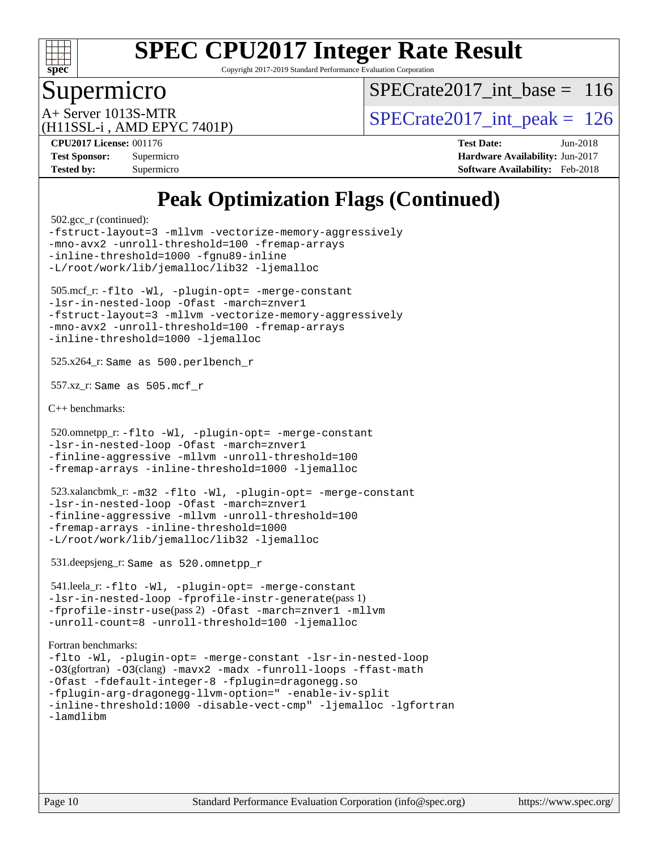

Copyright 2017-2019 Standard Performance Evaluation Corporation

### Supermicro

[SPECrate2017\\_int\\_base =](http://www.spec.org/auto/cpu2017/Docs/result-fields.html#SPECrate2017intbase) 116

(H11SSL-i , AMD EPYC 7401P)

A+ Server 1013S-MTR<br>  $\angle$  [SPECrate2017\\_int\\_peak =](http://www.spec.org/auto/cpu2017/Docs/result-fields.html#SPECrate2017intpeak) 126

**[CPU2017 License:](http://www.spec.org/auto/cpu2017/Docs/result-fields.html#CPU2017License)** 001176 **[Test Date:](http://www.spec.org/auto/cpu2017/Docs/result-fields.html#TestDate)** Jun-2018 **[Test Sponsor:](http://www.spec.org/auto/cpu2017/Docs/result-fields.html#TestSponsor)** Supermicro **[Hardware Availability:](http://www.spec.org/auto/cpu2017/Docs/result-fields.html#HardwareAvailability)** Jun-2017 **[Tested by:](http://www.spec.org/auto/cpu2017/Docs/result-fields.html#Testedby)** Supermicro **[Software Availability:](http://www.spec.org/auto/cpu2017/Docs/result-fields.html#SoftwareAvailability)** Feb-2018

### **[Peak Optimization Flags \(Continued\)](http://www.spec.org/auto/cpu2017/Docs/result-fields.html#PeakOptimizationFlags)**

 502.gcc\_r (continued): [-fstruct-layout=3](http://www.spec.org/cpu2017/results/res2018q3/cpu2017-20180710-07767.flags.html#user_peakCOPTIMIZE502_gcc_r_F-fstruct-layout) [-mllvm](http://www.spec.org/cpu2017/results/res2018q3/cpu2017-20180710-07767.flags.html#user_peakCOPTIMIZE502_gcc_r_F-mllvm_76e3f86ef8d8cc4dfa84cec42d531db351fee284f72cd5d644b5bdbef9c2604296512be6a431d9e19d0523544399ea9dd745afc2fff755a0705d428460dc659e) [-vectorize-memory-aggressively](http://www.spec.org/cpu2017/results/res2018q3/cpu2017-20180710-07767.flags.html#user_peakCOPTIMIZE502_gcc_r_F-vectorize-memory-aggressively) [-mno-avx2](http://www.spec.org/cpu2017/results/res2018q3/cpu2017-20180710-07767.flags.html#user_peakCOPTIMIZE502_gcc_r_F-mno-avx2) [-unroll-threshold=100](http://www.spec.org/cpu2017/results/res2018q3/cpu2017-20180710-07767.flags.html#user_peakCOPTIMIZE502_gcc_r_F-unroll-threshold) [-fremap-arrays](http://www.spec.org/cpu2017/results/res2018q3/cpu2017-20180710-07767.flags.html#user_peakCOPTIMIZE502_gcc_r_F-fremap-arrays) [-inline-threshold=1000](http://www.spec.org/cpu2017/results/res2018q3/cpu2017-20180710-07767.flags.html#user_peakCOPTIMIZE502_gcc_r_F-inline-threshold_1daf3e0321a7a0c1ea19068c818f3f119b1e5dfc986cc791557791f4b93536c1546ba0c8585f62303269f504aa232e0ca278e8489928152e32e0752215741730) [-fgnu89-inline](http://www.spec.org/cpu2017/results/res2018q3/cpu2017-20180710-07767.flags.html#user_peakEXTRA_COPTIMIZE502_gcc_r_F-fgnu89-inline) [-L/root/work/lib/jemalloc/lib32](http://www.spec.org/cpu2017/results/res2018q3/cpu2017-20180710-07767.flags.html#user_peakEXTRA_LIBS502_gcc_r_L-libpath_ed592dae44e5c1ab08e0623a53d3c5a4c6e35be404d5d0c77aec9324965777ec819518e6bc9b505d0969c714b6f83ef377306a01beedec47148c3dcded825687) [-ljemalloc](http://www.spec.org/cpu2017/results/res2018q3/cpu2017-20180710-07767.flags.html#user_peakEXTRA_LIBS502_gcc_r_F-ljemalloc) 505.mcf\_r: [-flto](http://www.spec.org/cpu2017/results/res2018q3/cpu2017-20180710-07767.flags.html#user_peakCOPTIMIZEEXTRA_LDFLAGS505_mcf_r_F-flto) [-Wl,](http://www.spec.org/cpu2017/results/res2018q3/cpu2017-20180710-07767.flags.html#user_peakEXTRA_LDFLAGS505_mcf_r_F-Wl_5f669859b7c1a0295edc4f5fd536c381023f180a987810cb5cfa1d9467a27ac14b13770b9732d7618b24fc778f3dfdf68b65521d505fc870281e0142944925a0) [-plugin-opt=](http://www.spec.org/cpu2017/results/res2018q3/cpu2017-20180710-07767.flags.html#user_peakEXTRA_LDFLAGS505_mcf_r_F-plugin-opt_772899571bb6157e4b8feeb3276e6c06dec41c1bbb0aa637c8700742a4baaf7e7b56061e32ae2365a76a44d8c448177ca3ee066cdf7537598ff772fc461942c2) [-merge-constant](http://www.spec.org/cpu2017/results/res2018q3/cpu2017-20180710-07767.flags.html#user_peakEXTRA_LDFLAGS505_mcf_r_F-merge-constant_bdb3ec75d21d5cf0ab1961ebe7105d0ea3b0c6d89a312cf7efc1d107e6c56c92c36b5d564d0702d1e2526f6b92f188b4413eb5a54b1f9e4a41f5a9bfc0233b92) [-lsr-in-nested-loop](http://www.spec.org/cpu2017/results/res2018q3/cpu2017-20180710-07767.flags.html#user_peakEXTRA_LDFLAGS505_mcf_r_F-lsr-in-nested-loop) [-Ofast](http://www.spec.org/cpu2017/results/res2018q3/cpu2017-20180710-07767.flags.html#user_peakCOPTIMIZE505_mcf_r_F-Ofast) [-march=znver1](http://www.spec.org/cpu2017/results/res2018q3/cpu2017-20180710-07767.flags.html#user_peakCOPTIMIZE505_mcf_r_march_082ab2c5e8f99f69c47c63adfdc26f9617958cc68d0b5dbfb7aa6935cde4c91d5d9c2fdc24e6781fa8a0299196f2f4ca8e995f825d797de797910507b4251bb3) [-fstruct-layout=3](http://www.spec.org/cpu2017/results/res2018q3/cpu2017-20180710-07767.flags.html#user_peakCOPTIMIZE505_mcf_r_F-fstruct-layout) [-mllvm](http://www.spec.org/cpu2017/results/res2018q3/cpu2017-20180710-07767.flags.html#user_peakCOPTIMIZE505_mcf_r_F-mllvm_76e3f86ef8d8cc4dfa84cec42d531db351fee284f72cd5d644b5bdbef9c2604296512be6a431d9e19d0523544399ea9dd745afc2fff755a0705d428460dc659e) [-vectorize-memory-aggressively](http://www.spec.org/cpu2017/results/res2018q3/cpu2017-20180710-07767.flags.html#user_peakCOPTIMIZE505_mcf_r_F-vectorize-memory-aggressively) [-mno-avx2](http://www.spec.org/cpu2017/results/res2018q3/cpu2017-20180710-07767.flags.html#user_peakCOPTIMIZE505_mcf_r_F-mno-avx2) [-unroll-threshold=100](http://www.spec.org/cpu2017/results/res2018q3/cpu2017-20180710-07767.flags.html#user_peakCOPTIMIZE505_mcf_r_F-unroll-threshold) [-fremap-arrays](http://www.spec.org/cpu2017/results/res2018q3/cpu2017-20180710-07767.flags.html#user_peakCOPTIMIZE505_mcf_r_F-fremap-arrays) [-inline-threshold=1000](http://www.spec.org/cpu2017/results/res2018q3/cpu2017-20180710-07767.flags.html#user_peakCOPTIMIZE505_mcf_r_F-inline-threshold_1daf3e0321a7a0c1ea19068c818f3f119b1e5dfc986cc791557791f4b93536c1546ba0c8585f62303269f504aa232e0ca278e8489928152e32e0752215741730) [-ljemalloc](http://www.spec.org/cpu2017/results/res2018q3/cpu2017-20180710-07767.flags.html#user_peakEXTRA_LIBS505_mcf_r_F-ljemalloc) 525.x264\_r: Same as 500.perlbench\_r 557.xz\_r: Same as 505.mcf\_r [C++ benchmarks:](http://www.spec.org/auto/cpu2017/Docs/result-fields.html#CXXbenchmarks) 520.omnetpp\_r: [-flto](http://www.spec.org/cpu2017/results/res2018q3/cpu2017-20180710-07767.flags.html#user_peakCXXOPTIMIZEEXTRA_LDFLAGS520_omnetpp_r_F-flto) [-Wl,](http://www.spec.org/cpu2017/results/res2018q3/cpu2017-20180710-07767.flags.html#user_peakEXTRA_LDFLAGS520_omnetpp_r_F-Wl_5f669859b7c1a0295edc4f5fd536c381023f180a987810cb5cfa1d9467a27ac14b13770b9732d7618b24fc778f3dfdf68b65521d505fc870281e0142944925a0) [-plugin-opt=](http://www.spec.org/cpu2017/results/res2018q3/cpu2017-20180710-07767.flags.html#user_peakEXTRA_LDFLAGS520_omnetpp_r_F-plugin-opt_772899571bb6157e4b8feeb3276e6c06dec41c1bbb0aa637c8700742a4baaf7e7b56061e32ae2365a76a44d8c448177ca3ee066cdf7537598ff772fc461942c2) [-merge-constant](http://www.spec.org/cpu2017/results/res2018q3/cpu2017-20180710-07767.flags.html#user_peakEXTRA_LDFLAGS520_omnetpp_r_F-merge-constant_bdb3ec75d21d5cf0ab1961ebe7105d0ea3b0c6d89a312cf7efc1d107e6c56c92c36b5d564d0702d1e2526f6b92f188b4413eb5a54b1f9e4a41f5a9bfc0233b92) [-lsr-in-nested-loop](http://www.spec.org/cpu2017/results/res2018q3/cpu2017-20180710-07767.flags.html#user_peakEXTRA_LDFLAGS520_omnetpp_r_F-lsr-in-nested-loop) [-Ofast](http://www.spec.org/cpu2017/results/res2018q3/cpu2017-20180710-07767.flags.html#user_peakCXXOPTIMIZE520_omnetpp_r_F-Ofast) [-march=znver1](http://www.spec.org/cpu2017/results/res2018q3/cpu2017-20180710-07767.flags.html#user_peakCXXOPTIMIZE520_omnetpp_r_march_082ab2c5e8f99f69c47c63adfdc26f9617958cc68d0b5dbfb7aa6935cde4c91d5d9c2fdc24e6781fa8a0299196f2f4ca8e995f825d797de797910507b4251bb3) [-finline-aggressive](http://www.spec.org/cpu2017/results/res2018q3/cpu2017-20180710-07767.flags.html#user_peakCXXOPTIMIZE520_omnetpp_r_F-finline-aggressive) [-mllvm](http://www.spec.org/cpu2017/results/res2018q3/cpu2017-20180710-07767.flags.html#user_peakCXXOPTIMIZE520_omnetpp_r_F-mllvm_76e3f86ef8d8cc4dfa84cec42d531db351fee284f72cd5d644b5bdbef9c2604296512be6a431d9e19d0523544399ea9dd745afc2fff755a0705d428460dc659e) [-unroll-threshold=100](http://www.spec.org/cpu2017/results/res2018q3/cpu2017-20180710-07767.flags.html#user_peakCXXOPTIMIZE520_omnetpp_r_F-unroll-threshold) [-fremap-arrays](http://www.spec.org/cpu2017/results/res2018q3/cpu2017-20180710-07767.flags.html#user_peakCXXOPTIMIZE520_omnetpp_r_F-fremap-arrays) [-inline-threshold=1000](http://www.spec.org/cpu2017/results/res2018q3/cpu2017-20180710-07767.flags.html#user_peakCXXOPTIMIZE520_omnetpp_r_F-inline-threshold_1daf3e0321a7a0c1ea19068c818f3f119b1e5dfc986cc791557791f4b93536c1546ba0c8585f62303269f504aa232e0ca278e8489928152e32e0752215741730) [-ljemalloc](http://www.spec.org/cpu2017/results/res2018q3/cpu2017-20180710-07767.flags.html#user_peakEXTRA_LIBS520_omnetpp_r_F-ljemalloc) 523.xalancbmk\_r: [-m32](http://www.spec.org/cpu2017/results/res2018q3/cpu2017-20180710-07767.flags.html#user_peakCXXLD523_xalancbmk_r_F-m32) [-flto](http://www.spec.org/cpu2017/results/res2018q3/cpu2017-20180710-07767.flags.html#user_peakCXXOPTIMIZEEXTRA_LDFLAGS523_xalancbmk_r_F-flto) [-Wl,](http://www.spec.org/cpu2017/results/res2018q3/cpu2017-20180710-07767.flags.html#user_peakEXTRA_LDFLAGS523_xalancbmk_r_F-Wl_5f669859b7c1a0295edc4f5fd536c381023f180a987810cb5cfa1d9467a27ac14b13770b9732d7618b24fc778f3dfdf68b65521d505fc870281e0142944925a0) [-plugin-opt=](http://www.spec.org/cpu2017/results/res2018q3/cpu2017-20180710-07767.flags.html#user_peakEXTRA_LDFLAGS523_xalancbmk_r_F-plugin-opt_772899571bb6157e4b8feeb3276e6c06dec41c1bbb0aa637c8700742a4baaf7e7b56061e32ae2365a76a44d8c448177ca3ee066cdf7537598ff772fc461942c2) [-merge-constant](http://www.spec.org/cpu2017/results/res2018q3/cpu2017-20180710-07767.flags.html#user_peakEXTRA_LDFLAGS523_xalancbmk_r_F-merge-constant_bdb3ec75d21d5cf0ab1961ebe7105d0ea3b0c6d89a312cf7efc1d107e6c56c92c36b5d564d0702d1e2526f6b92f188b4413eb5a54b1f9e4a41f5a9bfc0233b92) [-lsr-in-nested-loop](http://www.spec.org/cpu2017/results/res2018q3/cpu2017-20180710-07767.flags.html#user_peakEXTRA_LDFLAGS523_xalancbmk_r_F-lsr-in-nested-loop) [-Ofast](http://www.spec.org/cpu2017/results/res2018q3/cpu2017-20180710-07767.flags.html#user_peakCXXOPTIMIZE523_xalancbmk_r_F-Ofast) [-march=znver1](http://www.spec.org/cpu2017/results/res2018q3/cpu2017-20180710-07767.flags.html#user_peakCXXOPTIMIZE523_xalancbmk_r_march_082ab2c5e8f99f69c47c63adfdc26f9617958cc68d0b5dbfb7aa6935cde4c91d5d9c2fdc24e6781fa8a0299196f2f4ca8e995f825d797de797910507b4251bb3) [-finline-aggressive](http://www.spec.org/cpu2017/results/res2018q3/cpu2017-20180710-07767.flags.html#user_peakCXXOPTIMIZE523_xalancbmk_r_F-finline-aggressive) [-mllvm](http://www.spec.org/cpu2017/results/res2018q3/cpu2017-20180710-07767.flags.html#user_peakCXXOPTIMIZE523_xalancbmk_r_F-mllvm_76e3f86ef8d8cc4dfa84cec42d531db351fee284f72cd5d644b5bdbef9c2604296512be6a431d9e19d0523544399ea9dd745afc2fff755a0705d428460dc659e) [-unroll-threshold=100](http://www.spec.org/cpu2017/results/res2018q3/cpu2017-20180710-07767.flags.html#user_peakCXXOPTIMIZE523_xalancbmk_r_F-unroll-threshold) [-fremap-arrays](http://www.spec.org/cpu2017/results/res2018q3/cpu2017-20180710-07767.flags.html#user_peakCXXOPTIMIZE523_xalancbmk_r_F-fremap-arrays) [-inline-threshold=1000](http://www.spec.org/cpu2017/results/res2018q3/cpu2017-20180710-07767.flags.html#user_peakCXXOPTIMIZE523_xalancbmk_r_F-inline-threshold_1daf3e0321a7a0c1ea19068c818f3f119b1e5dfc986cc791557791f4b93536c1546ba0c8585f62303269f504aa232e0ca278e8489928152e32e0752215741730) [-L/root/work/lib/jemalloc/lib32](http://www.spec.org/cpu2017/results/res2018q3/cpu2017-20180710-07767.flags.html#user_peakEXTRA_LIBS523_xalancbmk_r_L-libpath_ed592dae44e5c1ab08e0623a53d3c5a4c6e35be404d5d0c77aec9324965777ec819518e6bc9b505d0969c714b6f83ef377306a01beedec47148c3dcded825687) [-ljemalloc](http://www.spec.org/cpu2017/results/res2018q3/cpu2017-20180710-07767.flags.html#user_peakEXTRA_LIBS523_xalancbmk_r_F-ljemalloc) 531.deepsjeng\_r: Same as 520.omnetpp\_r 541.leela\_r: [-flto](http://www.spec.org/cpu2017/results/res2018q3/cpu2017-20180710-07767.flags.html#user_peakCXXOPTIMIZEEXTRA_LDFLAGS541_leela_r_F-flto) [-Wl,](http://www.spec.org/cpu2017/results/res2018q3/cpu2017-20180710-07767.flags.html#user_peakEXTRA_LDFLAGS541_leela_r_F-Wl_5f669859b7c1a0295edc4f5fd536c381023f180a987810cb5cfa1d9467a27ac14b13770b9732d7618b24fc778f3dfdf68b65521d505fc870281e0142944925a0) [-plugin-opt=](http://www.spec.org/cpu2017/results/res2018q3/cpu2017-20180710-07767.flags.html#user_peakEXTRA_LDFLAGS541_leela_r_F-plugin-opt_772899571bb6157e4b8feeb3276e6c06dec41c1bbb0aa637c8700742a4baaf7e7b56061e32ae2365a76a44d8c448177ca3ee066cdf7537598ff772fc461942c2) [-merge-constant](http://www.spec.org/cpu2017/results/res2018q3/cpu2017-20180710-07767.flags.html#user_peakEXTRA_LDFLAGS541_leela_r_F-merge-constant_bdb3ec75d21d5cf0ab1961ebe7105d0ea3b0c6d89a312cf7efc1d107e6c56c92c36b5d564d0702d1e2526f6b92f188b4413eb5a54b1f9e4a41f5a9bfc0233b92) [-lsr-in-nested-loop](http://www.spec.org/cpu2017/results/res2018q3/cpu2017-20180710-07767.flags.html#user_peakEXTRA_LDFLAGS541_leela_r_F-lsr-in-nested-loop) [-fprofile-instr-generate](http://www.spec.org/cpu2017/results/res2018q3/cpu2017-20180710-07767.flags.html#user_peakPASS1_CXXFLAGSPASS1_LDFLAGS541_leela_r_F-fprofile-instr-generate)(pass 1) [-fprofile-instr-use](http://www.spec.org/cpu2017/results/res2018q3/cpu2017-20180710-07767.flags.html#user_peakPASS2_CXXFLAGSPASS2_LDFLAGS541_leela_r_F-fprofile-instr-use)(pass 2) [-Ofast](http://www.spec.org/cpu2017/results/res2018q3/cpu2017-20180710-07767.flags.html#user_peakCXXOPTIMIZE541_leela_r_F-Ofast) [-march=znver1](http://www.spec.org/cpu2017/results/res2018q3/cpu2017-20180710-07767.flags.html#user_peakCXXOPTIMIZE541_leela_r_march_082ab2c5e8f99f69c47c63adfdc26f9617958cc68d0b5dbfb7aa6935cde4c91d5d9c2fdc24e6781fa8a0299196f2f4ca8e995f825d797de797910507b4251bb3) [-mllvm](http://www.spec.org/cpu2017/results/res2018q3/cpu2017-20180710-07767.flags.html#user_peakCXXOPTIMIZE541_leela_r_F-mllvm_76e3f86ef8d8cc4dfa84cec42d531db351fee284f72cd5d644b5bdbef9c2604296512be6a431d9e19d0523544399ea9dd745afc2fff755a0705d428460dc659e) [-unroll-count=8](http://www.spec.org/cpu2017/results/res2018q3/cpu2017-20180710-07767.flags.html#user_peakCXXOPTIMIZE541_leela_r_F-unroll-count) [-unroll-threshold=100](http://www.spec.org/cpu2017/results/res2018q3/cpu2017-20180710-07767.flags.html#user_peakCXXOPTIMIZE541_leela_r_F-unroll-threshold) [-ljemalloc](http://www.spec.org/cpu2017/results/res2018q3/cpu2017-20180710-07767.flags.html#user_peakEXTRA_LIBS541_leela_r_F-ljemalloc) [Fortran benchmarks](http://www.spec.org/auto/cpu2017/Docs/result-fields.html#Fortranbenchmarks): [-flto](http://www.spec.org/cpu2017/results/res2018q3/cpu2017-20180710-07767.flags.html#user_FCpeak_F-flto) [-Wl,](http://www.spec.org/cpu2017/results/res2018q3/cpu2017-20180710-07767.flags.html#user_FCpeak_F-Wl_5f669859b7c1a0295edc4f5fd536c381023f180a987810cb5cfa1d9467a27ac14b13770b9732d7618b24fc778f3dfdf68b65521d505fc870281e0142944925a0) [-plugin-opt=](http://www.spec.org/cpu2017/results/res2018q3/cpu2017-20180710-07767.flags.html#user_FCpeak_F-plugin-opt_772899571bb6157e4b8feeb3276e6c06dec41c1bbb0aa637c8700742a4baaf7e7b56061e32ae2365a76a44d8c448177ca3ee066cdf7537598ff772fc461942c2) [-merge-constant](http://www.spec.org/cpu2017/results/res2018q3/cpu2017-20180710-07767.flags.html#user_FCpeak_F-merge-constant_bdb3ec75d21d5cf0ab1961ebe7105d0ea3b0c6d89a312cf7efc1d107e6c56c92c36b5d564d0702d1e2526f6b92f188b4413eb5a54b1f9e4a41f5a9bfc0233b92) [-lsr-in-nested-loop](http://www.spec.org/cpu2017/results/res2018q3/cpu2017-20180710-07767.flags.html#user_FCpeak_F-lsr-in-nested-loop) [-O3](http://www.spec.org/cpu2017/results/res2018q3/cpu2017-20180710-07767.flags.html#user_FCpeak_Olevel-gcc_2a8c613e11e2962ae78d693398304d6f1c12fa10320380cff05dd109643c60bb04214353a55f02d8022371d19f6dd940085da69c3a4516b2b7029e64f867e782)(gfortran) [-O3](http://www.spec.org/cpu2017/results/res2018q3/cpu2017-20180710-07767.flags.html#user_FCpeak_F-O3)(clang) [-mavx2](http://www.spec.org/cpu2017/results/res2018q3/cpu2017-20180710-07767.flags.html#user_FCpeak_F-mavx2) [-madx](http://www.spec.org/cpu2017/results/res2018q3/cpu2017-20180710-07767.flags.html#user_FCpeak_F-madx) [-funroll-loops](http://www.spec.org/cpu2017/results/res2018q3/cpu2017-20180710-07767.flags.html#user_FCpeak_F-funroll-loops) [-ffast-math](http://www.spec.org/cpu2017/results/res2018q3/cpu2017-20180710-07767.flags.html#user_FCpeak_F-ffast-math) [-Ofast](http://www.spec.org/cpu2017/results/res2018q3/cpu2017-20180710-07767.flags.html#user_FCpeak_F-Ofast) [-fdefault-integer-8](http://www.spec.org/cpu2017/results/res2018q3/cpu2017-20180710-07767.flags.html#user_FCpeak_F-fdefault-integer-8) [-fplugin=dragonegg.so](http://www.spec.org/cpu2017/results/res2018q3/cpu2017-20180710-07767.flags.html#user_FCpeak_F-fpluginDragonEgg) [-fplugin-arg-dragonegg-llvm-option="](http://www.spec.org/cpu2017/results/res2018q3/cpu2017-20180710-07767.flags.html#user_FCpeak_F-fplugin-arg-dragonegg-llvm-option_98400a9ab866ed0085f1e7306b6fe3b9aac45e0c6ce6c4c776296af40a6f95ac09a5771072dd0b0cdcb566a3e79e79d2a726fc48d436745311228115dad9979d) [-enable-iv-split](http://www.spec.org/cpu2017/results/res2018q3/cpu2017-20180710-07767.flags.html#user_FCpeak_F-enable-iv-split) [-inline-threshold:1000](http://www.spec.org/cpu2017/results/res2018q3/cpu2017-20180710-07767.flags.html#user_FCpeak_F-dragonegg-llvm-inline-threshold_aa239847abba08b4fba7c30a23f09e702847eca9c932ccbab9b5a98e59cdcbf3c2e1c25e08a0c44d3e4949b21c0afb0ca84a2f3587da11db66c46a8d7dd698b3) [-disable-vect-cmp"](http://www.spec.org/cpu2017/results/res2018q3/cpu2017-20180710-07767.flags.html#user_FCpeak_F-dragonegg-llvm-disable-vect-cmp_6cf351a29613b68bfdbd040d3e22ab0ce250093fe1c4f1b0b3e19cc513bf9fe59893782c14402abfbebd018ed2d47d139a1a3c59a802b3eac454540228820b23) [-ljemalloc](http://www.spec.org/cpu2017/results/res2018q3/cpu2017-20180710-07767.flags.html#user_FCpeak_F-ljemalloc) [-lgfortran](http://www.spec.org/cpu2017/results/res2018q3/cpu2017-20180710-07767.flags.html#user_FCpeak_F-lgfortran_aee53aa7918ae35ea4e5035d616421204ae8a638c05873868b1aa8743e73ef3f738c1d9cddaea8bce7f96e18015ec2f72d6588008f90a113075c46bd34a5e3c3)  [-lamdlibm](http://www.spec.org/cpu2017/results/res2018q3/cpu2017-20180710-07767.flags.html#user_FCpeak_F-lamdlibm_1db3d84841b8a1b4efe9441895380ccb52ec69ae4c885fce609f880d1f58d8b3c2693ad984247faf1d5c0b0abc492f2987ed2911d4dbfc830003ff87fe5a2273)